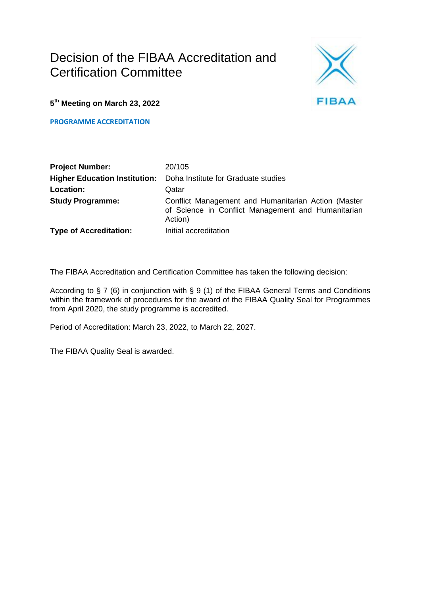# Decision of the FIBAA Accreditation and Certification Committee



**5 th Meeting on March 23, 2022**

**PROGRAMME ACCREDITATION**

| <b>Project Number:</b>        | 20/105                                                                                                               |
|-------------------------------|----------------------------------------------------------------------------------------------------------------------|
|                               | <b>Higher Education Institution:</b> Doha Institute for Graduate studies                                             |
| Location:                     | Qatar                                                                                                                |
| <b>Study Programme:</b>       | Conflict Management and Humanitarian Action (Master<br>of Science in Conflict Management and Humanitarian<br>Action) |
| <b>Type of Accreditation:</b> | Initial accreditation                                                                                                |

The FIBAA Accreditation and Certification Committee has taken the following decision:

According to § 7 (6) in conjunction with § 9 (1) of the FIBAA General Terms and Conditions within the framework of procedures for the award of the FIBAA Quality Seal for Programmes from April 2020, the study programme is accredited.

Period of Accreditation: March 23, 2022, to March 22, 2027.

The FIBAA Quality Seal is awarded.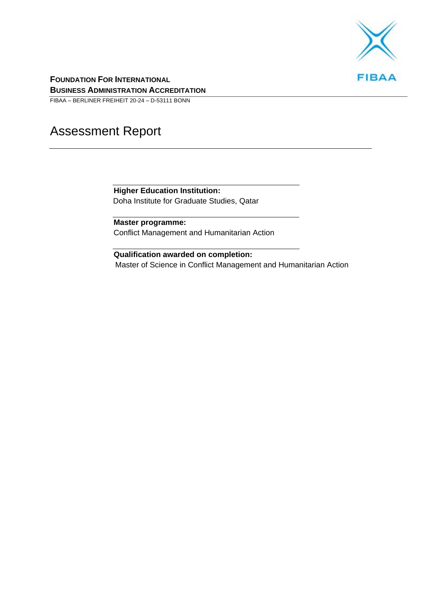

**FOUNDATION FOR INTERNATIONAL BUSINESS ADMINISTRATION ACCREDITATION**

FIBAA – BERLINER FREIHEIT 20-24 – D-53111 BONN

# Assessment Report

**Higher Education Institution:** Doha Institute for Graduate Studies, Qatar

**Master programme:** Conflict Management and Humanitarian Action

**Qualification awarded on completion:** Master of Science in Conflict Management and Humanitarian Action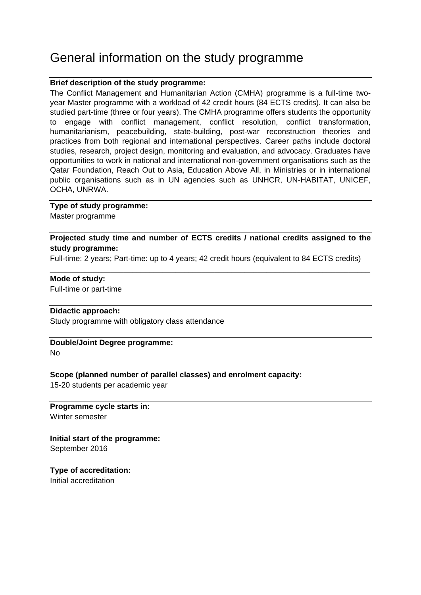## General information on the study programme

#### **Brief description of the study programme:**

The Conflict Management and Humanitarian Action (CMHA) programme is a full-time twoyear Master programme with a workload of 42 credit hours (84 ECTS credits). It can also be studied part-time (three or four years). The CMHA programme offers students the opportunity to engage with conflict management, conflict resolution, conflict transformation, humanitarianism, peacebuilding, state-building, post-war reconstruction theories and practices from both regional and international perspectives. Career paths include doctoral studies, research, project design, monitoring and evaluation, and advocacy. Graduates have opportunities to work in national and international non-government organisations such as the Qatar Foundation, Reach Out to Asia, Education Above All, in Ministries or in international public organisations such as in UN agencies such as UNHCR, UN-HABITAT, UNICEF, OCHA, UNRWA.

#### **Type of study programme:**

Master programme

#### **Projected study time and number of ECTS credits / national credits assigned to the study programme:**

Full-time: 2 years; Part-time: up to 4 years; 42 credit hours (equivalent to 84 ECTS credits) \_\_\_\_\_\_\_\_\_\_\_\_\_\_\_\_\_\_\_\_\_\_\_\_\_\_\_\_\_\_\_\_\_\_\_\_\_\_\_\_\_\_\_\_\_\_\_\_\_\_\_\_\_\_\_\_\_\_\_\_\_\_\_\_\_\_\_\_\_\_\_\_\_\_

#### **Mode of study:**

Full-time or part-time

#### **Didactic approach:**

Study programme with obligatory class attendance

#### **Double/Joint Degree programme:** No

#### **Scope (planned number of parallel classes) and enrolment capacity:**

15-20 students per academic year

#### **Programme cycle starts in:** Winter semester

**Initial start of the programme:** September 2016

**Type of accreditation:** Initial accreditation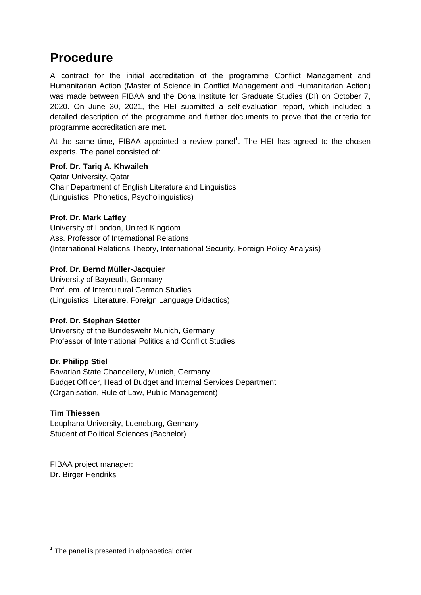## **Procedure**

A contract for the initial accreditation of the programme Conflict Management and Humanitarian Action (Master of Science in Conflict Management and Humanitarian Action) was made between FIBAA and the Doha Institute for Graduate Studies (DI) on October 7, 2020. On June 30, 2021, the HEI submitted a self-evaluation report, which included a detailed description of the programme and further documents to prove that the criteria for programme accreditation are met.

At the same time, FIBAA appointed a review panel<sup>1</sup>. The HEI has agreed to the chosen experts. The panel consisted of:

#### **Prof. Dr. Tariq A. Khwaileh**

Qatar University, Qatar Chair Department of English Literature and Linguistics (Linguistics, Phonetics, Psycholinguistics)

#### **Prof. Dr. Mark Laffey**

University of London, United Kingdom Ass. Professor of International Relations (International Relations Theory, International Security, Foreign Policy Analysis)

#### **Prof. Dr. Bernd Müller-Jacquier**

University of Bayreuth, Germany Prof. em. of Intercultural German Studies (Linguistics, Literature, Foreign Language Didactics)

#### **Prof. Dr. Stephan Stetter**

University of the Bundeswehr Munich, Germany Professor of International Politics and Conflict Studies

#### **Dr. Philipp Stiel**

Bavarian State Chancellery, Munich, Germany Budget Officer, Head of Budget and Internal Services Department (Organisation, Rule of Law, Public Management)

#### **Tim Thiessen**

Leuphana University, Lueneburg, Germany Student of Political Sciences (Bachelor)

FIBAA project manager: Dr. Birger Hendriks

**<sup>.</sup>**  $1$  The panel is presented in alphabetical order.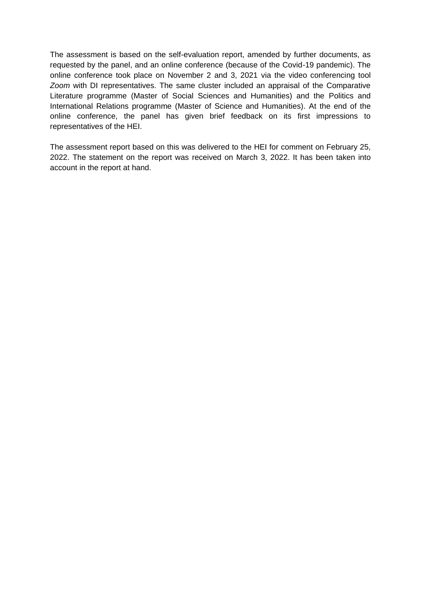The assessment is based on the self-evaluation report, amended by further documents, as requested by the panel, and an online conference (because of the Covid-19 pandemic). The online conference took place on November 2 and 3, 2021 via the video conferencing tool *Zoom* with DI representatives. The same cluster included an appraisal of the Comparative Literature programme (Master of Social Sciences and Humanities) and the Politics and International Relations programme (Master of Science and Humanities). At the end of the online conference, the panel has given brief feedback on its first impressions to representatives of the HEI.

The assessment report based on this was delivered to the HEI for comment on February 25, 2022. The statement on the report was received on March 3, 2022. It has been taken into account in the report at hand.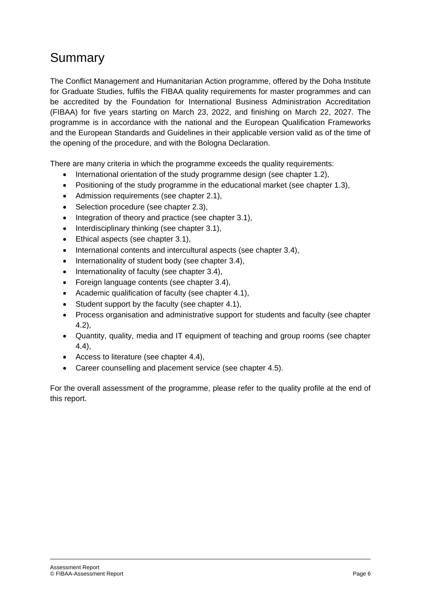# Summary

The Conflict Management and Humanitarian Action programme, offered by the Doha Institute for Graduate Studies, fulfils the FIBAA quality requirements for master programmes and can be accredited by the Foundation for International Business Administration Accreditation (FIBAA) for five years starting on March 23, 2022, and finishing on March 22, 2027. The programme is in accordance with the national and the European Qualification Frameworks and the European Standards and Guidelines in their applicable version valid as of the time of the opening of the procedure, and with the Bologna Declaration.

There are many criteria in which the programme exceeds the quality requirements:

- International orientation of the study programme design (see chapter 1.2),
- Positioning of the study programme in the educational market (see chapter 1.3),
- Admission requirements (see chapter 2.1),
- Selection procedure (see chapter 2.3),
- $\bullet$  Integration of theory and practice (see chapter 3.1),
- $\bullet$  Interdisciplinary thinking (see chapter 3.1),
- Ethical aspects (see chapter 3.1),
- International contents and intercultural aspects (see chapter 3.4),
- Internationality of student body (see chapter 3.4),
- Internationality of faculty (see chapter 3.4),
- Foreign language contents (see chapter 3.4),
- Academic qualification of faculty (see chapter 4.1),
- Student support by the faculty (see chapter 4.1),
- Process organisation and administrative support for students and faculty (see chapter 4.2),
- Quantity, quality, media and IT equipment of teaching and group rooms (see chapter 4.4),
- Access to literature (see chapter 4.4),
- Career counselling and placement service (see chapter 4.5).

For the overall assessment of the programme, please refer to the quality profile at the end of this report.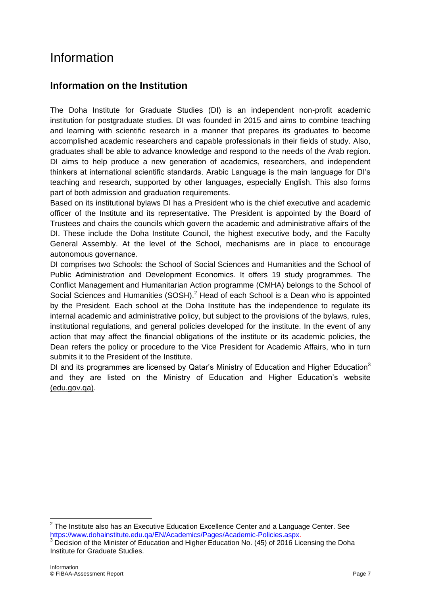# Information

### **Information on the Institution**

The Doha Institute for Graduate Studies (DI) is an independent non-profit academic institution for postgraduate studies. DI was founded in 2015 and aims to combine teaching and learning with scientific research in a manner that prepares its graduates to become accomplished academic researchers and capable professionals in their fields of study. Also, graduates shall be able to advance knowledge and respond to the needs of the Arab region. DI aims to help produce a new generation of academics, researchers, and independent thinkers at international scientific standards. Arabic Language is the main language for DI's teaching and research, supported by other languages, especially English. This also forms part of both admission and graduation requirements.

Based on its institutional bylaws DI has a President who is the chief executive and academic officer of the Institute and its representative. The President is appointed by the Board of Trustees and chairs the councils which govern the academic and administrative affairs of the DI. These include the Doha Institute Council, the highest executive body, and the Faculty General Assembly. At the level of the School, mechanisms are in place to encourage autonomous governance.

DI comprises two Schools: the School of Social Sciences and Humanities and the School of Public Administration and Development Economics. It offers 19 study programmes. The Conflict Management and Humanitarian Action programme (CMHA) belongs to the School of Social Sciences and Humanities (SOSH).<sup>2</sup> Head of each School is a Dean who is appointed by the President. Each school at the Doha Institute has the independence to regulate its internal academic and administrative policy, but subject to the provisions of the bylaws, rules, institutional regulations, and general policies developed for the institute. In the event of any action that may affect the financial obligations of the institute or its academic policies, the Dean refers the policy or procedure to the Vice President for Academic Affairs, who in turn submits it to the President of the Institute.

DI and its programmes are licensed by Qatar's Ministry of Education and Higher Education<sup>3</sup> and they are listed on the Ministry of Education and Higher Education's website [\(edu.gov.qa\).](https://www.edu.gov.qa/ar/Pages/higheredudefault.aspx?ItemID=134)

 $\overline{\phantom{a}}$ 

 $2$  The Institute also has an Executive Education Excellence Center and a Language Center. See [https://www.dohainstitute.edu.qa/EN/Academics/Pages/Academic-Policies.aspx.](https://www.dohainstitute.edu.qa/EN/Academics/Pages/Academic-Policies.aspx) Decision of the Minister of Education and Higher Education No. (45) of 2016 Licensing the Doha Institute for Graduate Studies.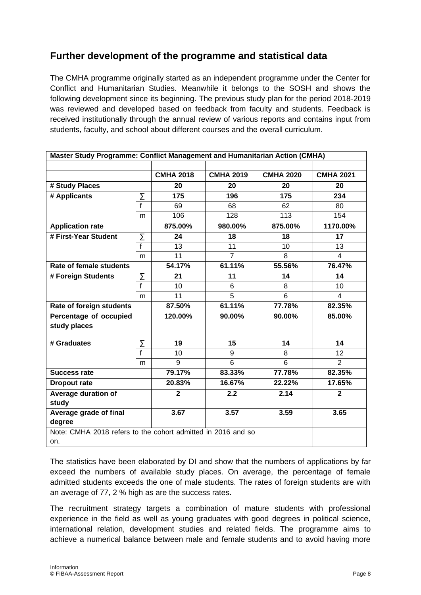## **Further development of the programme and statistical data**

The CMHA programme originally started as an independent programme under the Center for Conflict and Humanitarian Studies. Meanwhile it belongs to the SOSH and shows the following development since its beginning. The previous study plan for the period 2018-2019 was reviewed and developed based on feedback from faculty and students. Feedback is received institutionally through the annual review of various reports and contains input from students, faculty, and school about different courses and the overall curriculum.

| Master Study Programme: Conflict Management and Humanitarian Action (CMHA) |                |                  |                  |                  |                  |
|----------------------------------------------------------------------------|----------------|------------------|------------------|------------------|------------------|
|                                                                            |                |                  |                  |                  |                  |
|                                                                            |                | <b>CMHA 2018</b> | <b>CMHA 2019</b> | <b>CMHA 2020</b> | <b>CMHA 2021</b> |
| # Study Places                                                             |                | 20               | 20               | 20               | 20               |
| # Applicants                                                               | Σ              | 175              | 196              | 175              | $\sqrt{234}$     |
|                                                                            | $\overline{f}$ | 69               | 68               | 62               | 80               |
|                                                                            | m              | 106              | $\overline{128}$ | $\overline{113}$ | 154              |
| <b>Application rate</b>                                                    |                | 875.00%          | 980.00%          | 875.00%          | 1170.00%         |
| # First-Year Student                                                       | Σ              | 24               | 18               | 18               | 17               |
|                                                                            | $\overline{f}$ | 13               | 11               | 10               | 13               |
|                                                                            | m              | 11               | $\overline{7}$   | 8                | $\overline{4}$   |
| Rate of female students                                                    |                | 54.17%           | 61.11%           | 55.56%           | 76.47%           |
| # Foreign Students                                                         | Σ              | 21               | 11               | 14               | 14               |
|                                                                            | $\overline{f}$ | 10               | 6                | 8                | 10               |
|                                                                            | m              | $\overline{11}$  | $\overline{5}$   | 6                | $\overline{4}$   |
| Rate of foreign students                                                   |                | 87.50%           | 61.11%           | 77.78%           | 82.35%           |
| Percentage of occupied                                                     |                | 120.00%          | 90.00%           | 90.00%           | 85.00%           |
| study places                                                               |                |                  |                  |                  |                  |
|                                                                            |                |                  |                  |                  |                  |
| # Graduates                                                                | Σ              | 19               | 15               | 14               | 14               |
|                                                                            | $\overline{f}$ | 10               | 9                | 8                | 12 <sup>2</sup>  |
|                                                                            | m              | 9                | 6                | 6                | 2                |
| <b>Success rate</b>                                                        |                | 79.17%           | 83.33%           | 77.78%           | 82.35%           |
| <b>Dropout rate</b>                                                        |                | 20.83%           | 16.67%           | 22.22%           | 17.65%           |
| Average duration of                                                        |                | $\overline{2}$   | 2.2              | 2.14             | $\overline{2}$   |
| study                                                                      |                |                  |                  |                  |                  |
| Average grade of final                                                     |                | 3.67             | 3.57             | 3.59             | 3.65             |
| degree                                                                     |                |                  |                  |                  |                  |
| Note: CMHA 2018 refers to the cohort admitted in 2016 and so               |                |                  |                  |                  |                  |
| on.                                                                        |                |                  |                  |                  |                  |

The statistics have been elaborated by DI and show that the numbers of applications by far exceed the numbers of available study places. On average, the percentage of female admitted students exceeds the one of male students. The rates of foreign students are with an average of 77, 2 % high as are the success rates.

The recruitment strategy targets a combination of mature students with professional experience in the field as well as young graduates with good degrees in political science, international relation, development studies and related fields. The programme aims to achieve a numerical balance between male and female students and to avoid having more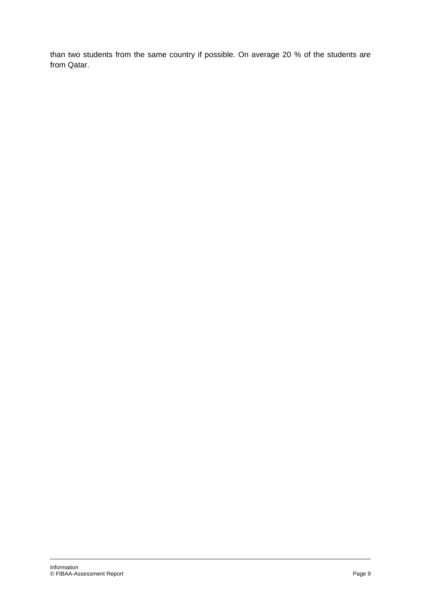than two students from the same country if possible. On average 20 % of the students are from Qatar.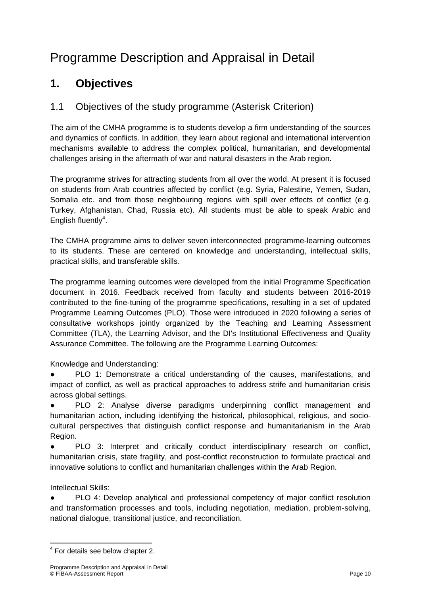# Programme Description and Appraisal in Detail

## **1. Objectives**

### 1.1 Objectives of the study programme (Asterisk Criterion)

The aim of the CMHA programme is to students develop a firm understanding of the sources and dynamics of conflicts. In addition, they learn about regional and international intervention mechanisms available to address the complex political, humanitarian, and developmental challenges arising in the aftermath of war and natural disasters in the Arab region.

The programme strives for attracting students from all over the world. At present it is focused on students from Arab countries affected by conflict (e.g. Syria, Palestine, Yemen, Sudan, Somalia etc. and from those neighbouring regions with spill over effects of conflict (e.g. Turkey, Afghanistan, Chad, Russia etc). All students must be able to speak Arabic and English fluently<sup>4</sup>.

The CMHA programme aims to deliver seven interconnected programme-learning outcomes to its students. These are centered on knowledge and understanding, intellectual skills, practical skills, and transferable skills.

The programme learning outcomes were developed from the initial Programme Specification document in 2016. Feedback received from faculty and students between 2016-2019 contributed to the fine-tuning of the programme specifications, resulting in a set of updated Programme Learning Outcomes (PLO). Those were introduced in 2020 following a series of consultative workshops jointly organized by the Teaching and Learning Assessment Committee (TLA), the Learning Advisor, and the DI's Institutional Effectiveness and Quality Assurance Committee. The following are the Programme Learning Outcomes:

Knowledge and Understanding:

PLO 1: Demonstrate a critical understanding of the causes, manifestations, and impact of conflict, as well as practical approaches to address strife and humanitarian crisis across global settings.

PLO 2: Analyse diverse paradigms underpinning conflict management and humanitarian action, including identifying the historical, philosophical, religious, and sociocultural perspectives that distinguish conflict response and humanitarianism in the Arab Region.

PLO 3: Interpret and critically conduct interdisciplinary research on conflict, humanitarian crisis, state fragility, and post-conflict reconstruction to formulate practical and innovative solutions to conflict and humanitarian challenges within the Arab Region.

#### Intellectual Skills:

PLO 4: Develop analytical and professional competency of major conflict resolution and transformation processes and tools, including negotiation, mediation, problem-solving, national dialogue, transitional justice, and reconciliation.

**<sup>.</sup>** <sup>4</sup> For details see below chapter 2.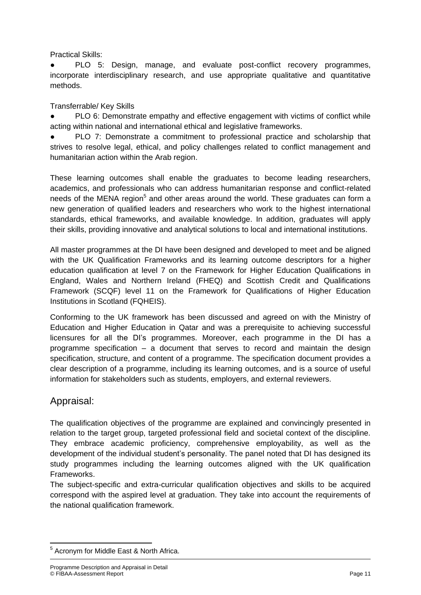Practical Skills:

PLO 5: Design, manage, and evaluate post-conflict recovery programmes, incorporate interdisciplinary research, and use appropriate qualitative and quantitative methods.

Transferrable/ Key Skills

PLO 6: Demonstrate empathy and effective engagement with victims of conflict while acting within national and international ethical and legislative frameworks.

PLO 7: Demonstrate a commitment to professional practice and scholarship that strives to resolve legal, ethical, and policy challenges related to conflict management and humanitarian action within the Arab region.

These learning outcomes shall enable the graduates to become leading researchers, academics, and professionals who can address humanitarian response and conflict-related needs of the MENA region<sup>5</sup> and other areas around the world. These graduates can form a new generation of qualified leaders and researchers who work to the highest international standards, ethical frameworks, and available knowledge. In addition, graduates will apply their skills, providing innovative and analytical solutions to local and international institutions.

All master programmes at the DI have been designed and developed to meet and be aligned with the UK Qualification Frameworks and its learning outcome descriptors for a higher education qualification at level 7 on the Framework for Higher Education Qualifications in England, Wales and Northern Ireland (FHEQ) and Scottish Credit and Qualifications Framework (SCQF) level 11 on the Framework for Qualifications of Higher Education Institutions in Scotland (FQHEIS).

Conforming to the UK framework has been discussed and agreed on with the Ministry of Education and Higher Education in Qatar and was a prerequisite to achieving successful licensures for all the DI's programmes. Moreover, each programme in the DI has a programme specification – a document that serves to record and maintain the design specification, structure, and content of a programme. The specification document provides a clear description of a programme, including its learning outcomes, and is a source of useful information for stakeholders such as students, employers, and external reviewers.

### Appraisal:

The qualification objectives of the programme are explained and convincingly presented in relation to the target group, targeted professional field and societal context of the discipline. They embrace academic proficiency, comprehensive employability, as well as the development of the individual student's personality. The panel noted that DI has designed its study programmes including the learning outcomes aligned with the UK qualification Frameworks.

The subject-specific and extra-curricular qualification objectives and skills to be acquired correspond with the aspired level at graduation. They take into account the requirements of the national qualification framework.

**<sup>.</sup>** <sup>5</sup> Acronym for Middle East & North Africa.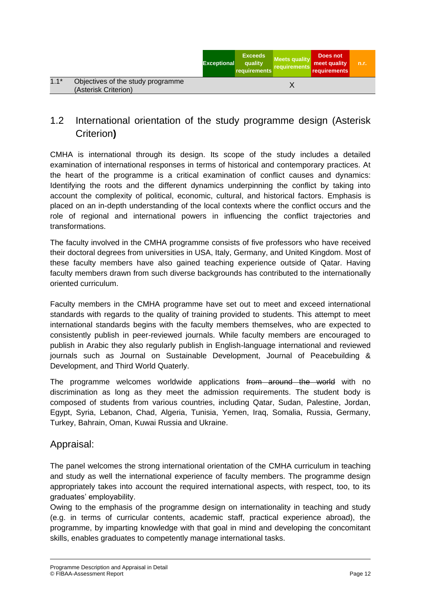|        |                                                           | <b>Exceptional</b> | <b>Exceeds</b><br>quality<br>requirements | <b>Meets quality</b><br>requirements | Does not<br>meet quality<br>requirements | n.r. |
|--------|-----------------------------------------------------------|--------------------|-------------------------------------------|--------------------------------------|------------------------------------------|------|
| $1.1*$ | Objectives of the study programme<br>(Asterisk Criterion) |                    |                                           |                                      |                                          |      |
|        |                                                           |                    |                                           |                                      |                                          |      |

## 1.2 International orientation of the study programme design (Asterisk Criterion**)**

CMHA is international through its design. Its scope of the study includes a detailed examination of international responses in terms of historical and contemporary practices. At the heart of the programme is a critical examination of conflict causes and dynamics: Identifying the roots and the different dynamics underpinning the conflict by taking into account the complexity of political, economic, cultural, and historical factors. Emphasis is placed on an in-depth understanding of the local contexts where the conflict occurs and the role of regional and international powers in influencing the conflict trajectories and transformations.

The faculty involved in the CMHA programme consists of five professors who have received their doctoral degrees from universities in USA, Italy, Germany, and United Kingdom. Most of these faculty members have also gained teaching experience outside of Qatar. Having faculty members drawn from such diverse backgrounds has contributed to the internationally oriented curriculum.

Faculty members in the CMHA programme have set out to meet and exceed international standards with regards to the quality of training provided to students. This attempt to meet international standards begins with the faculty members themselves, who are expected to consistently publish in peer-reviewed journals. While faculty members are encouraged to publish in Arabic they also regularly publish in English-language international and reviewed journals such as Journal on Sustainable Development, Journal of Peacebuilding & Development, and Third World Quaterly.

The programme welcomes worldwide applications from around the world with no discrimination as long as they meet the admission requirements. The student body is composed of students from various countries, including Qatar, Sudan, Palestine, Jordan, Egypt, Syria, Lebanon, Chad, Algeria, Tunisia, Yemen, Iraq, Somalia, Russia, Germany, Turkey, Bahrain, Oman, Kuwai Russia and Ukraine.

#### Appraisal:

The panel welcomes the strong international orientation of the CMHA curriculum in teaching and study as well the international experience of faculty members. The programme design appropriately takes into account the required international aspects, with respect, too, to its graduates' employability.

Owing to the emphasis of the programme design on internationality in teaching and study (e.g. in terms of curricular contents, academic staff, practical experience abroad), the programme, by imparting knowledge with that goal in mind and developing the concomitant skills, enables graduates to competently manage international tasks.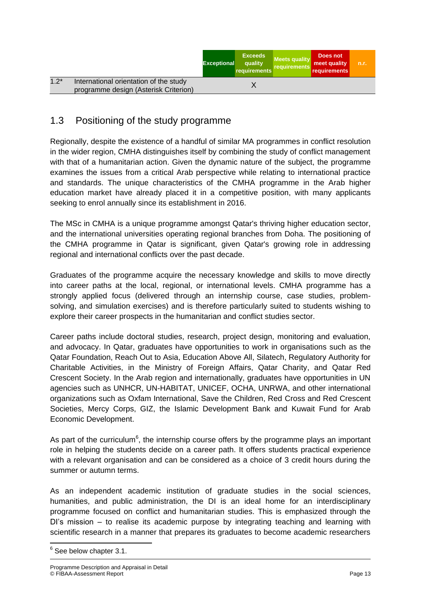|                                                                                           | <b>Exceptional</b> | <b>Exceeds</b><br>quality<br>requirements | <b>Meets quality</b><br>requirements | Does not<br>meet quality<br>requirements | n.r. |
|-------------------------------------------------------------------------------------------|--------------------|-------------------------------------------|--------------------------------------|------------------------------------------|------|
| $1.2*$<br>International orientation of the study<br>programme design (Asterisk Criterion) |                    |                                           |                                      |                                          |      |

### 1.3 Positioning of the study programme

Regionally, despite the existence of a handful of similar MA programmes in conflict resolution in the wider region, CMHA distinguishes itself by combining the study of conflict management with that of a humanitarian action. Given the dynamic nature of the subject, the programme examines the issues from a critical Arab perspective while relating to international practice and standards. The unique characteristics of the CMHA programme in the Arab higher education market have already placed it in a competitive position, with many applicants seeking to enrol annually since its establishment in 2016.

The MSc in CMHA is a unique programme amongst Qatar's thriving higher education sector, and the international universities operating regional branches from Doha. The positioning of the CMHA programme in Qatar is significant, given Qatar's growing role in addressing regional and international conflicts over the past decade.

Graduates of the programme acquire the necessary knowledge and skills to move directly into career paths at the local, regional, or international levels. CMHA programme has a strongly applied focus (delivered through an internship course, case studies, problemsolving, and simulation exercises) and is therefore particularly suited to students wishing to explore their career prospects in the humanitarian and conflict studies sector.

Career paths include doctoral studies, research, project design, monitoring and evaluation, and advocacy. In Qatar, graduates have opportunities to work in organisations such as the Qatar Foundation, Reach Out to Asia, Education Above All, Silatech, Regulatory Authority for Charitable Activities, in the Ministry of Foreign Affairs, Qatar Charity, and Qatar Red Crescent Society. In the Arab region and internationally, graduates have opportunities in UN agencies such as UNHCR, UN-HABITAT, UNICEF, OCHA, UNRWA, and other international organizations such as Oxfam International, Save the Children, Red Cross and Red Crescent Societies, Mercy Corps, GIZ, the Islamic Development Bank and Kuwait Fund for Arab Economic Development.

As part of the curriculum<sup>6</sup>, the internship course offers by the programme plays an important role in helping the students decide on a career path. It offers students practical experience with a relevant organisation and can be considered as a choice of 3 credit hours during the summer or autumn terms.

As an independent academic institution of graduate studies in the social sciences, humanities, and public administration, the DI is an ideal home for an interdisciplinary programme focused on conflict and humanitarian studies. This is emphasized through the DI's mission – to realise its academic purpose by integrating teaching and learning with scientific research in a manner that prepares its graduates to become academic researchers

**.** 

<sup>&</sup>lt;sup>6</sup> See below chapter 3.1.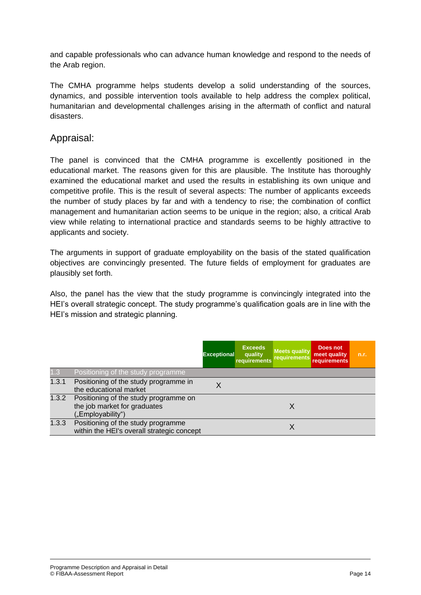and capable professionals who can advance human knowledge and respond to the needs of the Arab region.

The CMHA programme helps students develop a solid understanding of the sources, dynamics, and possible intervention tools available to help address the complex political, humanitarian and developmental challenges arising in the aftermath of conflict and natural disasters.

#### Appraisal:

The panel is convinced that the CMHA programme is excellently positioned in the educational market. The reasons given for this are plausible. The Institute has thoroughly examined the educational market and used the results in establishing its own unique and competitive profile. This is the result of several aspects: The number of applicants exceeds the number of study places by far and with a tendency to rise; the combination of conflict management and humanitarian action seems to be unique in the region; also, a critical Arab view while relating to international practice and standards seems to be highly attractive to applicants and society.

The arguments in support of graduate employability on the basis of the stated qualification objectives are convincingly presented. The future fields of employment for graduates are plausibly set forth.

Also, the panel has the view that the study programme is convincingly integrated into the HEI's overall strategic concept. The study programme's qualification goals are in line with the HEI's mission and strategic planning.

|       |                                                                                                  | <b>Exceptional</b> | <b>Exceeds</b><br>quality<br>requirements | <b>Meets quality</b><br>requirements | Does not<br>meet quality<br><b>requirements</b> | n.r. |
|-------|--------------------------------------------------------------------------------------------------|--------------------|-------------------------------------------|--------------------------------------|-------------------------------------------------|------|
| 1.3   | Positioning of the study programme                                                               |                    |                                           |                                      |                                                 |      |
| 1.3.1 | Positioning of the study programme in<br>the educational market                                  |                    |                                           |                                      |                                                 |      |
|       | 1.3.2 Positioning of the study programme on<br>the job market for graduates<br>("Employability") |                    |                                           | X                                    |                                                 |      |
| 1.3.3 | Positioning of the study programme<br>within the HEI's overall strategic concept                 |                    |                                           | X                                    |                                                 |      |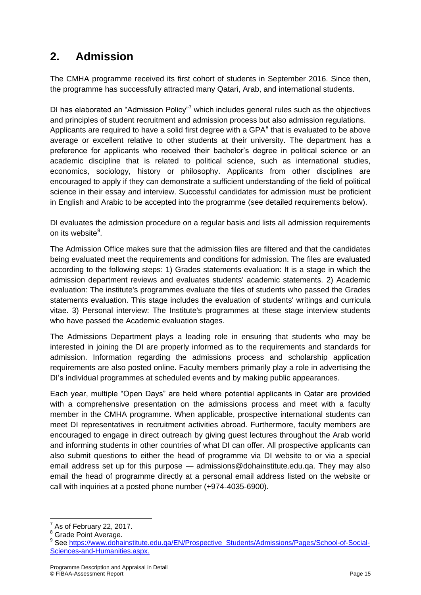## **2. Admission**

The CMHA programme received its first cohort of students in September 2016. Since then, the programme has successfully attracted many Qatari, Arab, and international students.

DI has elaborated an "Admission Policy"<sup>7</sup> which includes general rules such as the objectives and principles of student recruitment and admission process but also admission regulations. Applicants are required to have a solid first degree with a GPA $^8$  that is evaluated to be above average or excellent relative to other students at their university. The department has a preference for applicants who received their bachelor's degree in political science or an academic discipline that is related to political science, such as international studies, economics, sociology, history or philosophy. Applicants from other disciplines are encouraged to apply if they can demonstrate a sufficient understanding of the field of political science in their essay and interview. Successful candidates for admission must be proficient in English and Arabic to be accepted into the programme (see detailed requirements below).

DI evaluates the admission procedure on a regular basis and lists all admission requirements on its website<sup>9</sup>.

The Admission Office makes sure that the admission files are filtered and that the candidates being evaluated meet the requirements and conditions for admission. The files are evaluated according to the following steps: 1) Grades statements evaluation: It is a stage in which the admission department reviews and evaluates students' academic statements. 2) Academic evaluation: The institute's programmes evaluate the files of students who passed the Grades statements evaluation. This stage includes the evaluation of students' writings and curricula vitae. 3) Personal interview: The Institute's programmes at these stage interview students who have passed the Academic evaluation stages.

The Admissions Department plays a leading role in ensuring that students who may be interested in joining the DI are properly informed as to the requirements and standards for admission. Information regarding the admissions process and scholarship application requirements are also posted online. Faculty members primarily play a role in advertising the DI's individual programmes at scheduled events and by making public appearances.

Each year, multiple "Open Days" are held where potential applicants in Qatar are provided with a comprehensive presentation on the admissions process and meet with a faculty member in the CMHA programme. When applicable, prospective international students can meet DI representatives in recruitment activities abroad. Furthermore, faculty members are encouraged to engage in direct outreach by giving guest lectures throughout the Arab world and informing students in other countries of what DI can offer. All prospective applicants can also submit questions to either the head of programme via DI website to or via a special email address set up for this purpose — admissions@dohainstitute.edu.qa. They may also email the head of programme directly at a personal email address listed on the website or call with inquiries at a posted phone number (+974-4035-6900).

**.** 

 $<sup>7</sup>$  As of February 22, 2017.</sup>

 $\frac{8}{9}$  Grade Point Average.

<sup>9</sup> See [https://www.dohainstitute.edu.qa/EN/Prospective\\_Students/Admissions/Pages/School-of-Social-](https://www.dohainstitute.edu.qa/EN/Prospective_Students/Admissions/Pages/School-of-Social-Sciences-and-Humanities.aspx)[Sciences-and-Humanities.aspx.](https://www.dohainstitute.edu.qa/EN/Prospective_Students/Admissions/Pages/School-of-Social-Sciences-and-Humanities.aspx)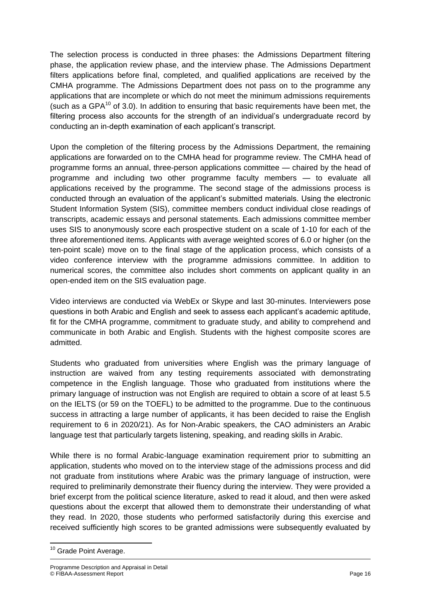The selection process is conducted in three phases: the Admissions Department filtering phase, the application review phase, and the interview phase. The Admissions Department filters applications before final, completed, and qualified applications are received by the CMHA programme. The Admissions Department does not pass on to the programme any applications that are incomplete or which do not meet the minimum admissions requirements (such as a GPA $<sup>10</sup>$  of 3.0). In addition to ensuring that basic requirements have been met, the</sup> filtering process also accounts for the strength of an individual's undergraduate record by conducting an in-depth examination of each applicant's transcript.

Upon the completion of the filtering process by the Admissions Department, the remaining applications are forwarded on to the CMHA head for programme review. The CMHA head of programme forms an annual, three-person applications committee — chaired by the head of programme and including two other programme faculty members — to evaluate all applications received by the programme. The second stage of the admissions process is conducted through an evaluation of the applicant's submitted materials. Using the electronic Student Information System (SIS), committee members conduct individual close readings of transcripts, academic essays and personal statements. Each admissions committee member uses SIS to anonymously score each prospective student on a scale of 1-10 for each of the three aforementioned items. Applicants with average weighted scores of 6.0 or higher (on the ten-point scale) move on to the final stage of the application process, which consists of a video conference interview with the programme admissions committee. In addition to numerical scores, the committee also includes short comments on applicant quality in an open-ended item on the SIS evaluation page.

Video interviews are conducted via WebEx or Skype and last 30-minutes. Interviewers pose questions in both Arabic and English and seek to assess each applicant's academic aptitude, fit for the CMHA programme, commitment to graduate study, and ability to comprehend and communicate in both Arabic and English. Students with the highest composite scores are admitted.

Students who graduated from universities where English was the primary language of instruction are waived from any testing requirements associated with demonstrating competence in the English language. Those who graduated from institutions where the primary language of instruction was not English are required to obtain a score of at least 5.5 on the IELTS (or 59 on the TOEFL) to be admitted to the programme. Due to the continuous success in attracting a large number of applicants, it has been decided to raise the English requirement to 6 in 2020/21). As for Non-Arabic speakers, the CAO administers an Arabic language test that particularly targets listening, speaking, and reading skills in Arabic.

While there is no formal Arabic-language examination requirement prior to submitting an application, students who moved on to the interview stage of the admissions process and did not graduate from institutions where Arabic was the primary language of instruction, were required to preliminarily demonstrate their fluency during the interview. They were provided a brief excerpt from the political science literature, asked to read it aloud, and then were asked questions about the excerpt that allowed them to demonstrate their understanding of what they read. In 2020, those students who performed satisfactorily during this exercise and received sufficiently high scores to be granted admissions were subsequently evaluated by

**<sup>.</sup>** <sup>10</sup> Grade Point Average.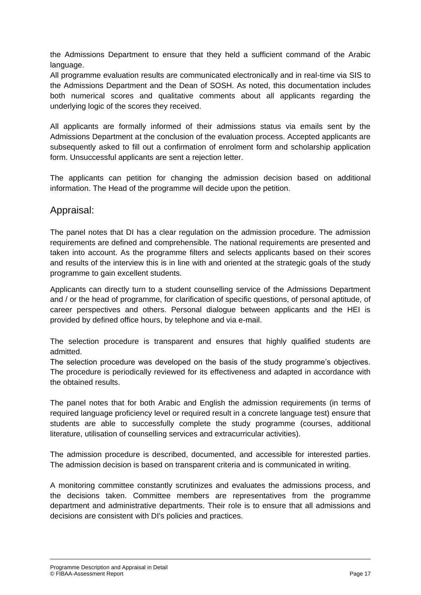the Admissions Department to ensure that they held a sufficient command of the Arabic language.

All programme evaluation results are communicated electronically and in real-time via SIS to the Admissions Department and the Dean of SOSH. As noted, this documentation includes both numerical scores and qualitative comments about all applicants regarding the underlying logic of the scores they received.

All applicants are formally informed of their admissions status via emails sent by the Admissions Department at the conclusion of the evaluation process. Accepted applicants are subsequently asked to fill out a confirmation of enrolment form and scholarship application form. Unsuccessful applicants are sent a rejection letter.

The applicants can petition for changing the admission decision based on additional information. The Head of the programme will decide upon the petition.

#### Appraisal:

The panel notes that DI has a clear regulation on the admission procedure. The admission requirements are defined and comprehensible. The national requirements are presented and taken into account. As the programme filters and selects applicants based on their scores and results of the interview this is in line with and oriented at the strategic goals of the study programme to gain excellent students.

Applicants can directly turn to a student counselling service of the Admissions Department and / or the head of programme, for clarification of specific questions, of personal aptitude, of career perspectives and others. Personal dialogue between applicants and the HEI is provided by defined office hours, by telephone and via e-mail.

The selection procedure is transparent and ensures that highly qualified students are admitted.

The selection procedure was developed on the basis of the study programme's objectives. The procedure is periodically reviewed for its effectiveness and adapted in accordance with the obtained results.

The panel notes that for both Arabic and English the admission requirements (in terms of required language proficiency level or required result in a concrete language test) ensure that students are able to successfully complete the study programme (courses, additional literature, utilisation of counselling services and extracurricular activities).

The admission procedure is described, documented, and accessible for interested parties. The admission decision is based on transparent criteria and is communicated in writing.

A monitoring committee constantly scrutinizes and evaluates the admissions process, and the decisions taken. Committee members are representatives from the programme department and administrative departments. Their role is to ensure that all admissions and decisions are consistent with DI's policies and practices.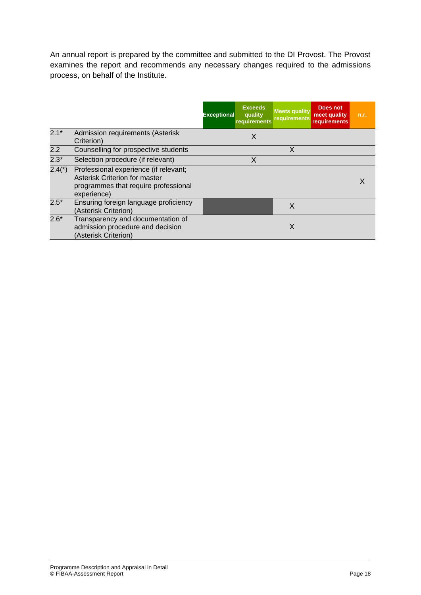An annual report is prepared by the committee and submitted to the DI Provost. The Provost examines the report and recommends any necessary changes required to the admissions process, on behalf of the Institute.

|          |                                                                                                                               | <b>Exceeds</b><br><b>Exceptional</b><br>quality<br>requirements | <b>Meets quality</b><br><b>requirements</b> | Does not<br>meet quality<br><b>requirements</b> | n.r. |
|----------|-------------------------------------------------------------------------------------------------------------------------------|-----------------------------------------------------------------|---------------------------------------------|-------------------------------------------------|------|
| $2.1*$   | Admission requirements (Asterisk<br>Criterion)                                                                                | Χ                                                               |                                             |                                                 |      |
| 2.2      | Counselling for prospective students                                                                                          |                                                                 | X                                           |                                                 |      |
| $2.3*$   | Selection procedure (if relevant)                                                                                             | X                                                               |                                             |                                                 |      |
| $2.4(*)$ | Professional experience (if relevant;<br>Asterisk Criterion for master<br>programmes that require professional<br>experience) |                                                                 |                                             |                                                 |      |
| $2.5*$   | Ensuring foreign language proficiency<br>(Asterisk Criterion)                                                                 |                                                                 | X                                           |                                                 |      |
| $2.6*$   | Transparency and documentation of<br>admission procedure and decision<br>(Asterisk Criterion)                                 |                                                                 | X                                           |                                                 |      |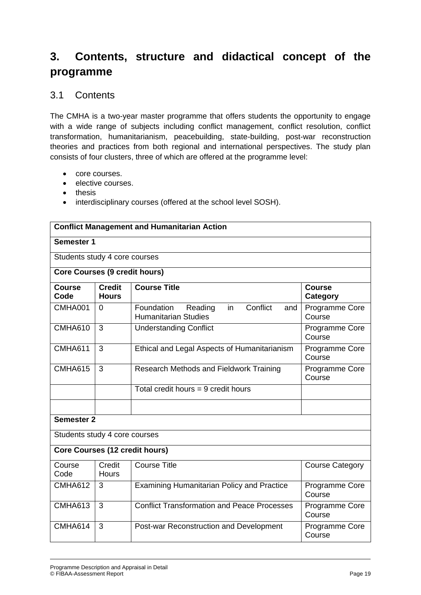## **3. Contents, structure and didactical concept of the programme**

#### 3.1 Contents

The CMHA is a two-year master programme that offers students the opportunity to engage with a wide range of subjects including conflict management, conflict resolution, conflict transformation, humanitarianism, peacebuilding, state-building, post-war reconstruction theories and practices from both regional and international perspectives. The study plan consists of four clusters, three of which are offered at the programme level:

- core courses.
- elective courses.
- thesis
- interdisciplinary courses (offered at the school level SOSH).

| <b>Conflict Management and Humanitarian Action</b> |                               |                                                                                |                                  |  |  |
|----------------------------------------------------|-------------------------------|--------------------------------------------------------------------------------|----------------------------------|--|--|
| Semester 1                                         |                               |                                                                                |                                  |  |  |
| Students study 4 core courses                      |                               |                                                                                |                                  |  |  |
| <b>Core Courses (9 credit hours)</b>               |                               |                                                                                |                                  |  |  |
| <b>Course</b><br>Code                              | <b>Credit</b><br><b>Hours</b> | <b>Course Title</b>                                                            | <b>Course</b><br><b>Category</b> |  |  |
| CMHA001                                            | $\Omega$                      | Conflict<br>Foundation<br>Reading<br>in.<br>and<br><b>Humanitarian Studies</b> | Programme Core<br>Course         |  |  |
| CMHA610                                            | $\overline{3}$                | <b>Understanding Conflict</b>                                                  | Programme Core<br>Course         |  |  |
| <b>CMHA611</b>                                     | 3                             | Ethical and Legal Aspects of Humanitarianism<br>Programme Core<br>Course       |                                  |  |  |
| <b>CMHA615</b>                                     | 3                             | Research Methods and Fieldwork Training<br>Programme Core<br>Course            |                                  |  |  |
|                                                    |                               | Total credit hours $= 9$ credit hours                                          |                                  |  |  |
|                                                    |                               |                                                                                |                                  |  |  |
| <b>Semester 2</b>                                  |                               |                                                                                |                                  |  |  |
| Students study 4 core courses                      |                               |                                                                                |                                  |  |  |
| <b>Core Courses (12 credit hours)</b>              |                               |                                                                                |                                  |  |  |
| Course<br>Code                                     | Credit<br>Hours               | <b>Course Title</b>                                                            | <b>Course Category</b>           |  |  |
| <b>CMHA612</b>                                     | 3                             | <b>Examining Humanitarian Policy and Practice</b><br>Programme Core<br>Course  |                                  |  |  |
| <b>CMHA613</b>                                     | $\overline{3}$                | <b>Conflict Transformation and Peace Processes</b>                             | Programme Core<br>Course         |  |  |
| CMHA614                                            | 3                             | Post-war Reconstruction and Development                                        | Programme Core<br>Course         |  |  |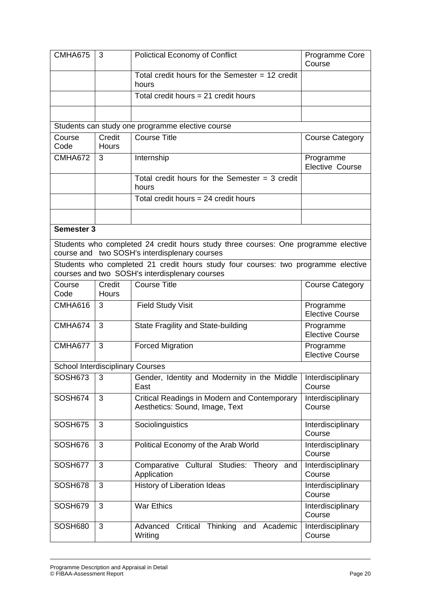| CMHA675                                 | 3               | <b>Polictical Economy of Conflict</b>                                                                                               | Programme Core<br>Course            |
|-----------------------------------------|-----------------|-------------------------------------------------------------------------------------------------------------------------------------|-------------------------------------|
|                                         |                 | Total credit hours for the Semester $= 12$ credit<br>hours                                                                          |                                     |
|                                         |                 | Total credit hours $= 21$ credit hours                                                                                              |                                     |
|                                         |                 |                                                                                                                                     |                                     |
|                                         |                 | Students can study one programme elective course                                                                                    |                                     |
| Course<br>Code                          | Credit<br>Hours | <b>Course Title</b>                                                                                                                 | <b>Course Category</b>              |
| <b>CMHA672</b>                          | 3               | Internship                                                                                                                          | Programme<br>Elective Course        |
|                                         |                 | Total credit hours for the Semester $=$ 3 credit<br>hours                                                                           |                                     |
|                                         |                 | Total credit hours = 24 credit hours                                                                                                |                                     |
|                                         |                 |                                                                                                                                     |                                     |
| <b>Semester 3</b>                       |                 |                                                                                                                                     |                                     |
|                                         |                 | Students who completed 24 credit hours study three courses: One programme elective<br>course and two SOSH's interdisplenary courses |                                     |
|                                         |                 | Students who completed 21 credit hours study four courses: two programme elective<br>courses and two SOSH's interdisplenary courses |                                     |
| Course<br>Code                          | Credit<br>Hours | <b>Course Title</b>                                                                                                                 | <b>Course Category</b>              |
| CMHA616                                 | 3               | <b>Field Study Visit</b>                                                                                                            | Programme<br><b>Elective Course</b> |
| CMHA674                                 | 3               | State Fragility and State-building                                                                                                  | Programme<br><b>Elective Course</b> |
| CMHA677                                 | 3               | <b>Forced Migration</b>                                                                                                             | Programme<br><b>Elective Course</b> |
| <b>School Interdisciplinary Courses</b> |                 |                                                                                                                                     |                                     |
| SOSH673                                 | 3               | Gender, Identity and Modernity in the Middle<br>East                                                                                | Interdisciplinary<br>Course         |
| SOSH674                                 | 3               | Critical Readings in Modern and Contemporary<br>Aesthetics: Sound, Image, Text                                                      | Interdisciplinary<br>Course         |
| SOSH675                                 | 3               | Sociolinguistics                                                                                                                    | Interdisciplinary<br>Course         |
| SOSH676                                 | 3               | Political Economy of the Arab World                                                                                                 | Interdisciplinary<br>Course         |
| SOSH677                                 | 3               | Comparative Cultural Studies: Theory<br>and<br>Application                                                                          | Interdisciplinary<br>Course         |
| SOSH678                                 | 3               | History of Liberation Ideas                                                                                                         | Interdisciplinary<br>Course         |
| SOSH679                                 | 3               | <b>War Ethics</b>                                                                                                                   | Interdisciplinary<br>Course         |
| SOSH680                                 | 3               | Critical Thinking and Academic<br>Advanced<br>Writing                                                                               | Interdisciplinary<br>Course         |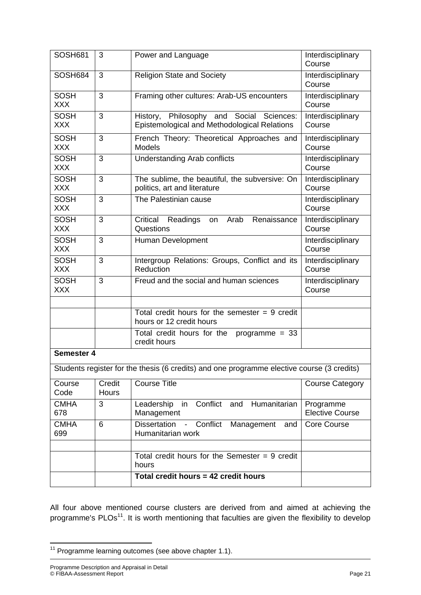| SOSH681                   | 3                      | Power and Language                                                                             | Interdisciplinary<br>Course         |
|---------------------------|------------------------|------------------------------------------------------------------------------------------------|-------------------------------------|
| SOSH684                   | 3                      | <b>Religion State and Society</b>                                                              | Interdisciplinary<br>Course         |
| <b>SOSH</b><br><b>XXX</b> | 3                      | Framing other cultures: Arab-US encounters                                                     | Interdisciplinary<br>Course         |
| <b>SOSH</b><br><b>XXX</b> | 3                      | History, Philosophy and Social Sciences:<br>Epistemological and Methodological Relations       | Interdisciplinary<br>Course         |
| <b>SOSH</b><br><b>XXX</b> | 3                      | French Theory: Theoretical Approaches and<br><b>Models</b>                                     | Interdisciplinary<br>Course         |
| <b>SOSH</b><br><b>XXX</b> | 3                      | <b>Understanding Arab conflicts</b>                                                            | Interdisciplinary<br>Course         |
| <b>SOSH</b><br><b>XXX</b> | 3                      | The sublime, the beautiful, the subversive: On<br>politics, art and literature                 | Interdisciplinary<br>Course         |
| <b>SOSH</b><br><b>XXX</b> | 3                      | The Palestinian cause                                                                          | Interdisciplinary<br>Course         |
| <b>SOSH</b><br><b>XXX</b> | 3                      | Renaissance<br>Critical<br>Readings<br>Arab<br>on<br>Questions                                 | Interdisciplinary<br>Course         |
| <b>SOSH</b><br><b>XXX</b> | 3                      | Human Development                                                                              | Interdisciplinary<br>Course         |
| <b>SOSH</b><br><b>XXX</b> | 3                      | Intergroup Relations: Groups, Conflict and its<br>Reduction                                    | Interdisciplinary<br>Course         |
| <b>SOSH</b><br><b>XXX</b> | 3                      | Freud and the social and human sciences                                                        | Interdisciplinary<br>Course         |
|                           |                        |                                                                                                |                                     |
|                           |                        | $\overline{\text{Total}}$ credit hours for the semester = 9 credit<br>hours or 12 credit hours |                                     |
|                           |                        | Total credit hours for the<br>programme $= 33$<br>credit hours                                 |                                     |
| <b>Semester 4</b>         |                        |                                                                                                |                                     |
|                           |                        | Students register for the thesis (6 credits) and one programme elective course (3 credits)     |                                     |
| Course<br>Code            | Credit<br><b>Hours</b> | <b>Course Title</b>                                                                            | <b>Course Category</b>              |
| <b>CMHA</b><br>678        | 3                      | Conflict<br>Humanitarian<br>Leadership<br>and<br>in<br>Management                              | Programme<br><b>Elective Course</b> |
| <b>CMHA</b><br>699        | 6                      | <b>Dissertation</b><br>Conflict<br>Management<br>$\blacksquare$<br>and<br>Humanitarian work    | <b>Core Course</b>                  |
|                           |                        |                                                                                                |                                     |
|                           |                        | Total credit hours for the Semester $= 9$ credit<br>hours                                      |                                     |
|                           |                        | Total credit hours = 42 credit hours                                                           |                                     |

All four above mentioned course clusters are derived from and aimed at achieving the programme's PLOs<sup>11</sup>. It is worth mentioning that faculties are given the flexibility to develop

**<sup>.</sup>**  $11$  Programme learning outcomes (see above chapter 1.1).

Programme Description and Appraisal in Detail © FIBAA-Assessment Report Page 21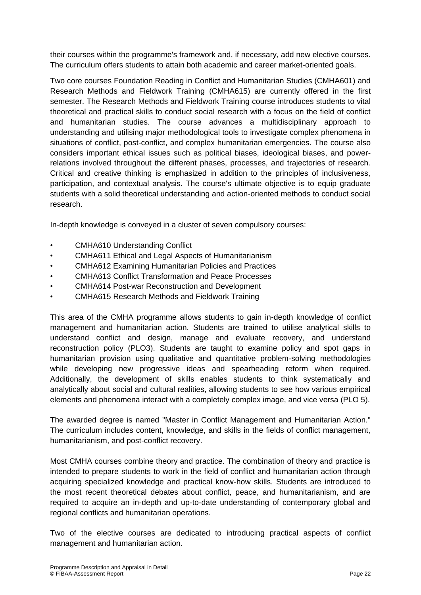their courses within the programme's framework and, if necessary, add new elective courses. The curriculum offers students to attain both academic and career market-oriented goals.

Two core courses Foundation Reading in Conflict and Humanitarian Studies (CMHA601) and Research Methods and Fieldwork Training (CMHA615) are currently offered in the first semester. The Research Methods and Fieldwork Training course introduces students to vital theoretical and practical skills to conduct social research with a focus on the field of conflict and humanitarian studies. The course advances a multidisciplinary approach to understanding and utilising major methodological tools to investigate complex phenomena in situations of conflict, post-conflict, and complex humanitarian emergencies. The course also considers important ethical issues such as political biases, ideological biases, and powerrelations involved throughout the different phases, processes, and trajectories of research. Critical and creative thinking is emphasized in addition to the principles of inclusiveness, participation, and contextual analysis. The course's ultimate objective is to equip graduate students with a solid theoretical understanding and action-oriented methods to conduct social research.

In-depth knowledge is conveyed in a cluster of seven compulsory courses:

- CMHA610 Understanding Conflict
- CMHA611 Ethical and Legal Aspects of Humanitarianism
- CMHA612 Examining Humanitarian Policies and Practices
- CMHA613 Conflict Transformation and Peace Processes
- CMHA614 Post-war Reconstruction and Development
- CMHA615 Research Methods and Fieldwork Training

This area of the CMHA programme allows students to gain in-depth knowledge of conflict management and humanitarian action. Students are trained to utilise analytical skills to understand conflict and design, manage and evaluate recovery, and understand reconstruction policy (PLO3). Students are taught to examine policy and spot gaps in humanitarian provision using qualitative and quantitative problem-solving methodologies while developing new progressive ideas and spearheading reform when required. Additionally, the development of skills enables students to think systematically and analytically about social and cultural realities, allowing students to see how various empirical elements and phenomena interact with a completely complex image, and vice versa (PLO 5).

The awarded degree is named "Master in Conflict Management and Humanitarian Action." The curriculum includes content, knowledge, and skills in the fields of conflict management, humanitarianism, and post-conflict recovery.

Most CMHA courses combine theory and practice. The combination of theory and practice is intended to prepare students to work in the field of conflict and humanitarian action through acquiring specialized knowledge and practical know-how skills. Students are introduced to the most recent theoretical debates about conflict, peace, and humanitarianism, and are required to acquire an in-depth and up-to-date understanding of contemporary global and regional conflicts and humanitarian operations.

Two of the elective courses are dedicated to introducing practical aspects of conflict management and humanitarian action.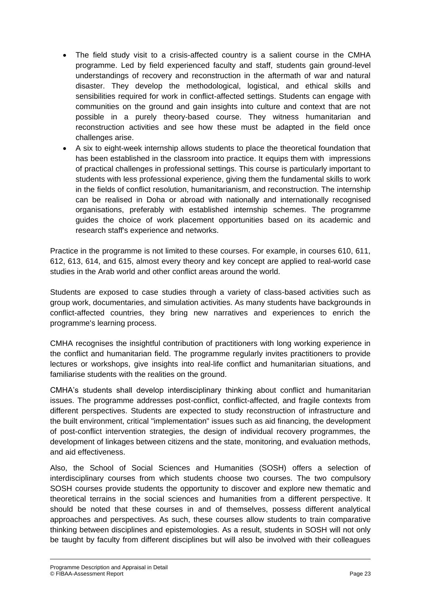- The field study visit to a crisis-affected country is a salient course in the CMHA programme. Led by field experienced faculty and staff, students gain ground-level understandings of recovery and reconstruction in the aftermath of war and natural disaster. They develop the methodological, logistical, and ethical skills and sensibilities required for work in conflict-affected settings. Students can engage with communities on the ground and gain insights into culture and context that are not possible in a purely theory-based course. They witness humanitarian and reconstruction activities and see how these must be adapted in the field once challenges arise.
- A six to eight-week internship allows students to place the theoretical foundation that has been established in the classroom into practice. It equips them with impressions of practical challenges in professional settings. This course is particularly important to students with less professional experience, giving them the fundamental skills to work in the fields of conflict resolution, humanitarianism, and reconstruction. The internship can be realised in Doha or abroad with nationally and internationally recognised organisations, preferably with established internship schemes. The programme guides the choice of work placement opportunities based on its academic and research staff's experience and networks.

Practice in the programme is not limited to these courses. For example, in courses 610, 611, 612, 613, 614, and 615, almost every theory and key concept are applied to real-world case studies in the Arab world and other conflict areas around the world.

Students are exposed to case studies through a variety of class-based activities such as group work, documentaries, and simulation activities. As many students have backgrounds in conflict-affected countries, they bring new narratives and experiences to enrich the programme's learning process.

CMHA recognises the insightful contribution of practitioners with long working experience in the conflict and humanitarian field. The programme regularly invites practitioners to provide lectures or workshops, give insights into real-life conflict and humanitarian situations, and familiarise students with the realities on the ground.

CMHA's students shall develop interdisciplinary thinking about conflict and humanitarian issues. The programme addresses post-conflict, conflict-affected, and fragile contexts from different perspectives. Students are expected to study reconstruction of infrastructure and the built environment, critical "implementation" issues such as aid financing, the development of post-conflict intervention strategies, the design of individual recovery programmes, the development of linkages between citizens and the state, monitoring, and evaluation methods, and aid effectiveness.

Also, the School of Social Sciences and Humanities (SOSH) offers a selection of interdisciplinary courses from which students choose two courses. The two compulsory SOSH courses provide students the opportunity to discover and explore new thematic and theoretical terrains in the social sciences and humanities from a different perspective. It should be noted that these courses in and of themselves, possess different analytical approaches and perspectives. As such, these courses allow students to train comparative thinking between disciplines and epistemologies. As a result, students in SOSH will not only be taught by faculty from different disciplines but will also be involved with their colleagues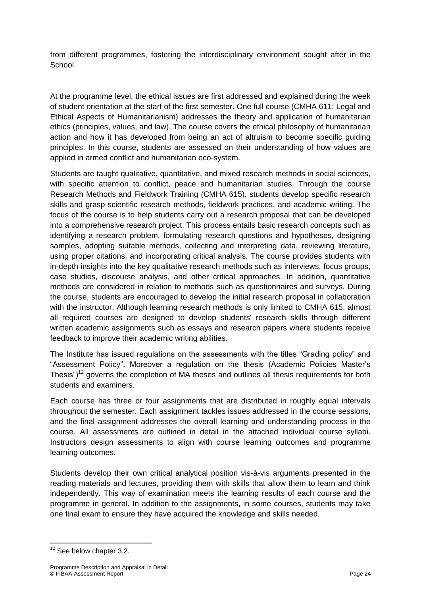from different programmes, fostering the interdisciplinary environment sought after in the School.

At the programme level, the ethical issues are first addressed and explained during the week of student orientation at the start of the first semester. One full course (CMHA 611: Legal and Ethical Aspects of Humanitarianism) addresses the theory and application of humanitarian ethics (principles, values, and law). The course covers the ethical philosophy of humanitarian action and how it has developed from being an act of altruism to become specific guiding principles. In this course, students are assessed on their understanding of how values are applied in armed conflict and humanitarian eco-system.

Students are taught qualitative, quantitative, and mixed research methods in social sciences, with specific attention to conflict, peace and humanitarian studies. Through the course Research Methods and Fieldwork Training (CMHA 615), students develop specific research skills and grasp scientific research methods, fieldwork practices, and academic writing. The focus of the course is to help students carry out a research proposal that can be developed into a comprehensive research project. This process entails basic research concepts such as identifying a research problem, formulating research questions and hypotheses, designing samples, adopting suitable methods, collecting and interpreting data, reviewing literature, using proper citations, and incorporating critical analysis. The course provides students with in-depth insights into the key qualitative research methods such as interviews, focus groups, case studies, discourse analysis, and other critical approaches. In addition, quantitative methods are considered in relation to methods such as questionnaires and surveys. During the course, students are encouraged to develop the initial research proposal in collaboration with the instructor. Although learning research methods is only limited to CMHA 615, almost all required courses are designed to develop students' research skills through different written academic assignments such as essays and research papers where students receive feedback to improve their academic writing abilities.

The Institute has issued regulations on the assessments with the titles "Grading policy" and "Assessment Policy". Moreover a regulation on the thesis (Academic Policies Master's Thesis")<sup>12</sup> governs the completion of MA theses and outlines all thesis requirements for both students and examiners.

Each course has three or four assignments that are distributed in roughly equal intervals throughout the semester. Each assignment tackles issues addressed in the course sessions, and the final assignment addresses the overall learning and understanding process in the course. All assessments are outlined in detail in the attached individual course syllabi. Instructors design assessments to align with course learning outcomes and programme learning outcomes.

Students develop their own critical analytical position vis-à-vis arguments presented in the reading materials and lectures, providing them with skills that allow them to learn and think independently. This way of examination meets the learning results of each course and the programme in general. In addition to the assignments, in some courses, students may take one final exam to ensure they have acquired the knowledge and skills needed.

**.** 

 $12$  See below chapter 3.2.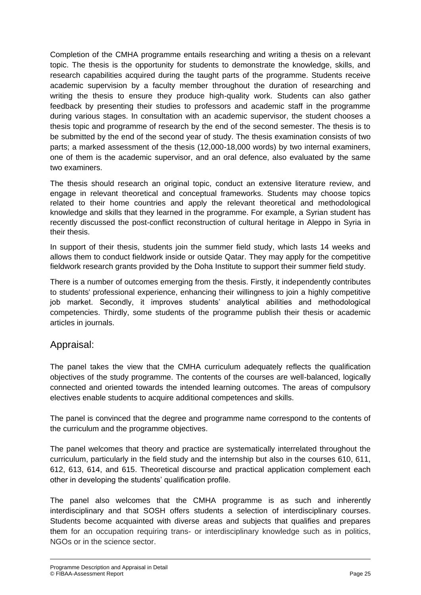Completion of the CMHA programme entails researching and writing a thesis on a relevant topic. The thesis is the opportunity for students to demonstrate the knowledge, skills, and research capabilities acquired during the taught parts of the programme. Students receive academic supervision by a faculty member throughout the duration of researching and writing the thesis to ensure they produce high-quality work. Students can also gather feedback by presenting their studies to professors and academic staff in the programme during various stages. In consultation with an academic supervisor, the student chooses a thesis topic and programme of research by the end of the second semester. The thesis is to be submitted by the end of the second year of study. The thesis examination consists of two parts; a marked assessment of the thesis (12,000-18,000 words) by two internal examiners, one of them is the academic supervisor, and an oral defence, also evaluated by the same two examiners.

The thesis should research an original topic, conduct an extensive literature review, and engage in relevant theoretical and conceptual frameworks. Students may choose topics related to their home countries and apply the relevant theoretical and methodological knowledge and skills that they learned in the programme. For example, a Syrian student has recently discussed the post-conflict reconstruction of cultural heritage in Aleppo in Syria in their thesis.

In support of their thesis, students join the summer field study, which lasts 14 weeks and allows them to conduct fieldwork inside or outside Qatar. They may apply for the competitive fieldwork research grants provided by the Doha Institute to support their summer field study.

There is a number of outcomes emerging from the thesis. Firstly, it independently contributes to students' professional experience, enhancing their willingness to join a highly competitive job market. Secondly, it improves students' analytical abilities and methodological competencies. Thirdly, some students of the programme publish their thesis or academic articles in journals.

#### Appraisal:

The panel takes the view that the CMHA curriculum adequately reflects the qualification objectives of the study programme. The contents of the courses are well-balanced, logically connected and oriented towards the intended learning outcomes. The areas of compulsory electives enable students to acquire additional competences and skills.

The panel is convinced that the degree and programme name correspond to the contents of the curriculum and the programme objectives.

The panel welcomes that theory and practice are systematically interrelated throughout the curriculum, particularly in the field study and the internship but also in the courses 610, 611, 612, 613, 614, and 615. Theoretical discourse and practical application complement each other in developing the students' qualification profile.

The panel also welcomes that the CMHA programme is as such and inherently interdisciplinary and that SOSH offers students a selection of interdisciplinary courses. Students become acquainted with diverse areas and subjects that qualifies and prepares them for an occupation requiring trans- or interdisciplinary knowledge such as in politics, NGOs or in the science sector.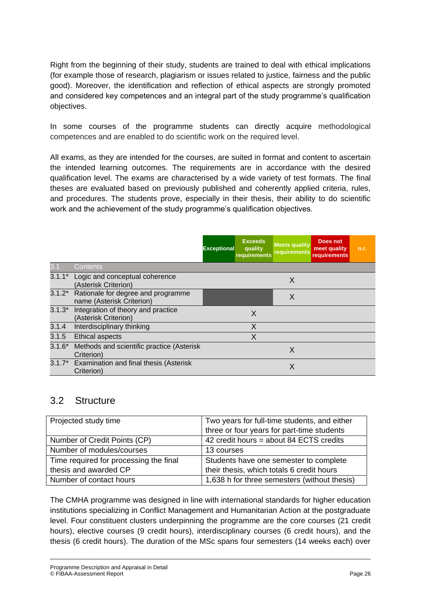Right from the beginning of their study, students are trained to deal with ethical implications (for example those of research, plagiarism or issues related to justice, fairness and the public good). Moreover, the identification and reflection of ethical aspects are strongly promoted and considered key competences and an integral part of the study programme's qualification objectives.

In some courses of the programme students can directly acquire methodological competences and are enabled to do scientific work on the required level.

All exams, as they are intended for the courses, are suited in format and content to ascertain the intended learning outcomes. The requirements are in accordance with the desired qualification level. The exams are characterised by a wide variety of test formats. The final theses are evaluated based on previously published and coherently applied criteria, rules, and procedures. The students prove, especially in their thesis, their ability to do scientific work and the achievement of the study programme's qualification objectives.

|          |                                                                 | <b>Exceptional</b> | <b>Exceeds</b><br>quality<br>requirements | <b>Meets quality</b><br><b>requirements</b> | Does not<br>meet quality<br>requirements | n.r. |
|----------|-----------------------------------------------------------------|--------------------|-------------------------------------------|---------------------------------------------|------------------------------------------|------|
| 31       | Contents                                                        |                    |                                           |                                             |                                          |      |
| $3.1.1*$ | Logic and conceptual coherence<br>(Asterisk Criterion)          |                    |                                           | X                                           |                                          |      |
| $3.1.2*$ | Rationale for degree and programme<br>name (Asterisk Criterion) |                    |                                           | X                                           |                                          |      |
| $3.1.3*$ | Integration of theory and practice<br>(Asterisk Criterion)      |                    | X                                         |                                             |                                          |      |
| 3.1.4    | Interdisciplinary thinking                                      |                    | X                                         |                                             |                                          |      |
| 3.1.5    | <b>Ethical aspects</b>                                          |                    | X                                         |                                             |                                          |      |
| $3.1.6*$ | Methods and scientific practice (Asterisk<br>Criterion)         |                    |                                           | X                                           |                                          |      |
| $3.1.7*$ | Examination and final thesis (Asterisk<br>Criterion)            |                    |                                           | X                                           |                                          |      |

#### 3.2 Structure

| Projected study time                   | Two years for full-time students, and either |
|----------------------------------------|----------------------------------------------|
|                                        | three or four years for part-time students   |
| Number of Credit Points (CP)           | 42 credit hours = about 84 ECTS credits      |
| Number of modules/courses              | 13 courses                                   |
| Time required for processing the final | Students have one semester to complete       |
| thesis and awarded CP                  | their thesis, which totals 6 credit hours    |
| Number of contact hours                | 1,638 h for three semesters (without thesis) |

The CMHA programme was designed in line with international standards for higher education institutions specializing in Conflict Management and Humanitarian Action at the postgraduate level. Four constituent clusters underpinning the programme are the core courses (21 credit hours), elective courses (9 credit hours), interdisciplinary courses (6 credit hours), and the thesis (6 credit hours). The duration of the MSc spans four semesters (14 weeks each) over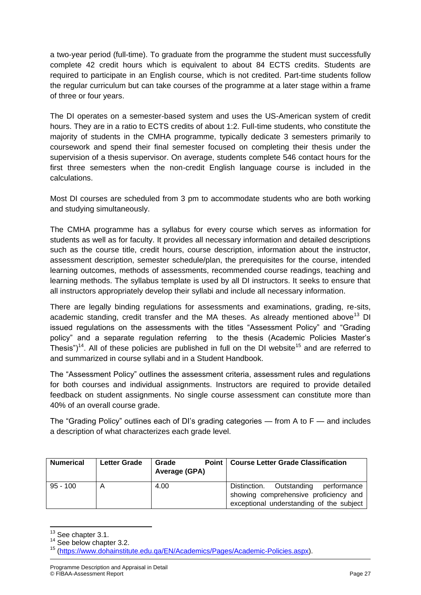a two-year period (full-time). To graduate from the programme the student must successfully complete 42 credit hours which is equivalent to about 84 ECTS credits. Students are required to participate in an English course, which is not credited. Part-time students follow the regular curriculum but can take courses of the programme at a later stage within a frame of three or four years.

The DI operates on a semester-based system and uses the US-American system of credit hours. They are in a ratio to ECTS credits of about 1:2. Full-time students, who constitute the majority of students in the CMHA programme, typically dedicate 3 semesters primarily to coursework and spend their final semester focused on completing their thesis under the supervision of a thesis supervisor. On average, students complete 546 contact hours for the first three semesters when the non-credit English language course is included in the calculations.

Most DI courses are scheduled from 3 pm to accommodate students who are both working and studying simultaneously.

The CMHA programme has a syllabus for every course which serves as information for students as well as for faculty. It provides all necessary information and detailed descriptions such as the course title, credit hours, course description, information about the instructor, assessment description, semester schedule/plan, the prerequisites for the course, intended learning outcomes, methods of assessments, recommended course readings, teaching and learning methods. The syllabus template is used by all DI instructors. It seeks to ensure that all instructors appropriately develop their syllabi and include all necessary information.

There are legally binding regulations for assessments and examinations, grading, re-sits, academic standing, credit transfer and the MA theses. As already mentioned above<sup>13</sup> DI issued regulations on the assessments with the titles "Assessment Policy" and "Grading policy" and a separate regulation referring to the thesis (Academic Policies Master's Thesis")<sup>14</sup>. All of these policies are published in full on the DI website<sup>15</sup> and are referred to and summarized in course syllabi and in a Student Handbook.

The "Assessment Policy" outlines the assessment criteria, assessment rules and regulations for both courses and individual assignments. Instructors are required to provide detailed feedback on student assignments. No single course assessment can constitute more than 40% of an overall course grade.

The "Grading Policy" outlines each of DI's grading categories — from A to F — and includes a description of what characterizes each grade level.

| <b>Numerical</b> | <b>Letter Grade</b> | Point I<br>Grade<br>Average (GPA) | <b>Course Letter Grade Classification</b>                                                                                       |
|------------------|---------------------|-----------------------------------|---------------------------------------------------------------------------------------------------------------------------------|
| $95 - 100$       | A                   | 4.00                              | Outstanding<br>performance<br>Distinction.<br>showing comprehensive proficiency and<br>exceptional understanding of the subject |

 $\overline{a}$ <sup>13</sup> See chapter 3.1.

<sup>&</sup>lt;sup>14</sup> See below chapter 3.2.

<sup>15</sup> [\(https://www.dohainstitute.edu.qa/EN/Academics/Pages/Academic-Policies.aspx\)](https://www.dohainstitute.edu.qa/EN/Academics/Pages/Academic-Policies.aspx).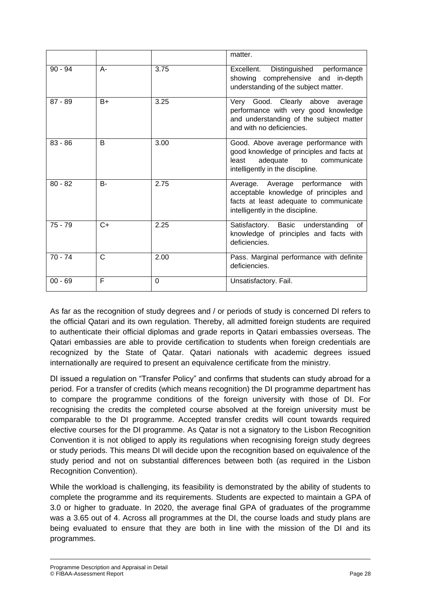|           |       |                | matter.                                                                                                                                                         |
|-----------|-------|----------------|-----------------------------------------------------------------------------------------------------------------------------------------------------------------|
| $90 - 94$ | A-    | 3.75           | Excellent.<br>Distinguished performance<br>showing comprehensive and in-depth<br>understanding of the subject matter.                                           |
| $87 - 89$ | $B+$  | 3.25           | Very Good. Clearly above average<br>performance with very good knowledge<br>and understanding of the subject matter<br>and with no deficiencies.                |
| $83 - 86$ | B     | 3.00           | Good. Above average performance with<br>good knowledge of principles and facts at<br>adequate<br>least<br>communicate<br>to<br>intelligently in the discipline. |
| $80 - 82$ | $B -$ | 2.75           | Average. Average performance<br>with<br>acceptable knowledge of principles and<br>facts at least adequate to communicate<br>intelligently in the discipline.    |
| $75 - 79$ | $C+$  | 2.25           | Satisfactory. Basic understanding<br>of<br>knowledge of principles and facts with<br>deficiencies.                                                              |
| $70 - 74$ | C     | 2.00           | Pass. Marginal performance with definite<br>deficiencies.                                                                                                       |
| $00 - 69$ | F     | $\overline{0}$ | Unsatisfactory. Fail.                                                                                                                                           |

As far as the recognition of study degrees and / or periods of study is concerned DI refers to the official Qatari and its own regulation. Thereby, all admitted foreign students are required to authenticate their official diplomas and grade reports in Qatari embassies overseas. The Qatari embassies are able to provide certification to students when foreign credentials are recognized by the State of Qatar. Qatari nationals with academic degrees issued internationally are required to present an equivalence certificate from the ministry.

DI issued a regulation on "Transfer Policy" and confirms that students can study abroad for a period. For a transfer of credits (which means recognition) the DI programme department has to compare the programme conditions of the foreign university with those of DI. For recognising the credits the completed course absolved at the foreign university must be comparable to the DI programme. Accepted transfer credits will count towards required elective courses for the DI programme. As Qatar is not a signatory to the Lisbon Recognition Convention it is not obliged to apply its regulations when recognising foreign study degrees or study periods. This means DI will decide upon the recognition based on equivalence of the study period and not on substantial differences between both (as required in the Lisbon Recognition Convention).

While the workload is challenging, its feasibility is demonstrated by the ability of students to complete the programme and its requirements. Students are expected to maintain a GPA of 3.0 or higher to graduate. In 2020, the average final GPA of graduates of the programme was a 3.65 out of 4. Across all programmes at the DI, the course loads and study plans are being evaluated to ensure that they are both in line with the mission of the DI and its programmes.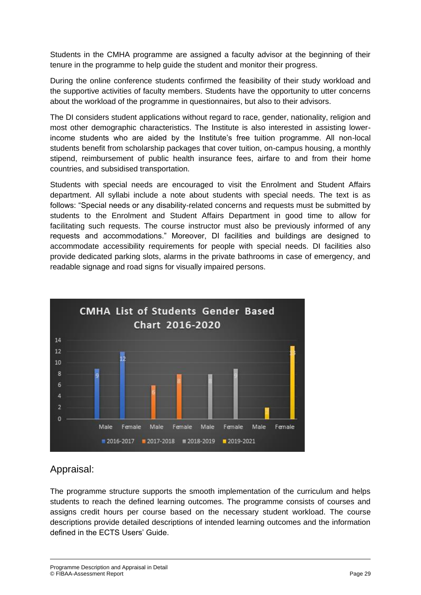Students in the CMHA programme are assigned a faculty advisor at the beginning of their tenure in the programme to help guide the student and monitor their progress.

During the online conference students confirmed the feasibility of their study workload and the supportive activities of faculty members. Students have the opportunity to utter concerns about the workload of the programme in questionnaires, but also to their advisors.

The DI considers student applications without regard to race, gender, nationality, religion and most other demographic characteristics. The Institute is also interested in assisting lowerincome students who are aided by the Institute's free tuition programme. All non-local students benefit from scholarship packages that cover tuition, on-campus housing, a monthly stipend, reimbursement of public health insurance fees, airfare to and from their home countries, and subsidised transportation.

Students with special needs are encouraged to visit the Enrolment and Student Affairs department. All syllabi include a note about students with special needs. The text is as follows: "Special needs or any disability-related concerns and requests must be submitted by students to the Enrolment and Student Affairs Department in good time to allow for facilitating such requests. The course instructor must also be previously informed of any requests and accommodations." Moreover, DI facilities and buildings are designed to accommodate accessibility requirements for people with special needs. DI facilities also provide dedicated parking slots, alarms in the private bathrooms in case of emergency, and readable signage and road signs for visually impaired persons.



### Appraisal:

The programme structure supports the smooth implementation of the curriculum and helps students to reach the defined learning outcomes. The programme consists of courses and assigns credit hours per course based on the necessary student workload. The course descriptions provide detailed descriptions of intended learning outcomes and the information defined in the ECTS Users' Guide.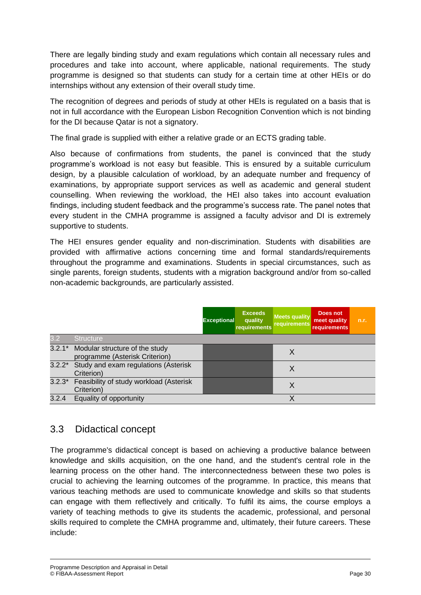There are legally binding study and exam regulations which contain all necessary rules and procedures and take into account, where applicable, national requirements. The study programme is designed so that students can study for a certain time at other HEIs or do internships without any extension of their overall study time.

The recognition of degrees and periods of study at other HEIs is regulated on a basis that is not in full accordance with the European Lisbon Recognition Convention which is not binding for the DI because Qatar is not a signatory.

The final grade is supplied with either a relative grade or an ECTS grading table.

Also because of confirmations from students, the panel is convinced that the study programme's workload is not easy but feasible. This is ensured by a suitable curriculum design, by a plausible calculation of workload, by an adequate number and frequency of examinations, by appropriate support services as well as academic and general student counselling. When reviewing the workload, the HEI also takes into account evaluation findings, including student feedback and the programme's success rate. The panel notes that every student in the CMHA programme is assigned a faculty advisor and DI is extremely supportive to students.

The HEI ensures gender equality and non-discrimination. Students with disabilities are provided with affirmative actions concerning time and formal standards/requirements throughout the programme and examinations. Students in special circumstances, such as single parents, foreign students, students with a migration background and/or from so-called non-academic backgrounds, are particularly assisted.

|       |                                                                         | <b>Exceptional</b> | <b>Exceeds</b><br>quality<br>requirements | <b>Meets quality</b><br><b>requirements</b> | Does not<br>meet quality<br><b>requirements</b> | n.r. |
|-------|-------------------------------------------------------------------------|--------------------|-------------------------------------------|---------------------------------------------|-------------------------------------------------|------|
| 3.2   | <b>Structure</b>                                                        |                    |                                           |                                             |                                                 |      |
|       | 3.2.1* Modular structure of the study<br>programme (Asterisk Criterion) |                    |                                           | X                                           |                                                 |      |
|       | 3.2.2* Study and exam regulations (Asterisk<br>Criterion)               |                    |                                           | X                                           |                                                 |      |
|       | 3.2.3* Feasibility of study workload (Asterisk<br>Criterion)            |                    |                                           | Χ                                           |                                                 |      |
| 3.2.4 | Equality of opportunity                                                 |                    |                                           | Χ                                           |                                                 |      |

## 3.3 Didactical concept

The programme's didactical concept is based on achieving a productive balance between knowledge and skills acquisition, on the one hand, and the student's central role in the learning process on the other hand. The interconnectedness between these two poles is crucial to achieving the learning outcomes of the programme. In practice, this means that various teaching methods are used to communicate knowledge and skills so that students can engage with them reflectively and critically. To fulfil its aims, the course employs a variety of teaching methods to give its students the academic, professional, and personal skills required to complete the CMHA programme and, ultimately, their future careers. These include: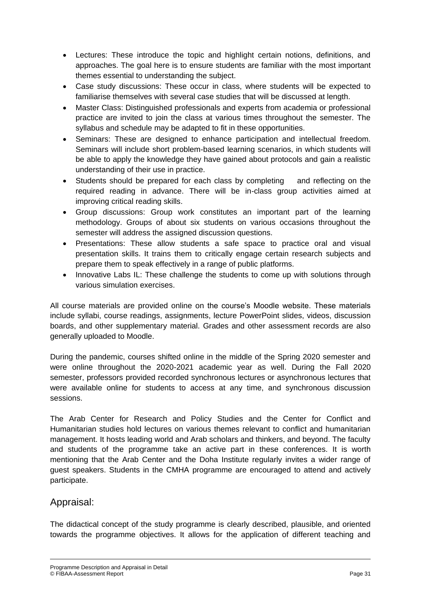- Lectures: These introduce the topic and highlight certain notions, definitions, and approaches. The goal here is to ensure students are familiar with the most important themes essential to understanding the subject.
- Case study discussions: These occur in class, where students will be expected to familiarise themselves with several case studies that will be discussed at length.
- Master Class: Distinguished professionals and experts from academia or professional practice are invited to join the class at various times throughout the semester. The syllabus and schedule may be adapted to fit in these opportunities.
- Seminars: These are designed to enhance participation and intellectual freedom. Seminars will include short problem-based learning scenarios, in which students will be able to apply the knowledge they have gained about protocols and gain a realistic understanding of their use in practice.
- Students should be prepared for each class by completing and reflecting on the required reading in advance. There will be in-class group activities aimed at improving critical reading skills.
- Group discussions: Group work constitutes an important part of the learning methodology. Groups of about six students on various occasions throughout the semester will address the assigned discussion questions.
- Presentations: These allow students a safe space to practice oral and visual presentation skills. It trains them to critically engage certain research subjects and prepare them to speak effectively in a range of public platforms.
- Innovative Labs IL: These challenge the students to come up with solutions through various simulation exercises.

All course materials are provided online on the course's Moodle website. These materials include syllabi, course readings, assignments, lecture PowerPoint slides, videos, discussion boards, and other supplementary material. Grades and other assessment records are also generally uploaded to Moodle.

During the pandemic, courses shifted online in the middle of the Spring 2020 semester and were online throughout the 2020-2021 academic year as well. During the Fall 2020 semester, professors provided recorded synchronous lectures or asynchronous lectures that were available online for students to access at any time, and synchronous discussion sessions.

The Arab Center for Research and Policy Studies and the Center for Conflict and Humanitarian studies hold lectures on various themes relevant to conflict and humanitarian management. It hosts leading world and Arab scholars and thinkers, and beyond. The faculty and students of the programme take an active part in these conferences. It is worth mentioning that the Arab Center and the Doha Institute regularly invites a wider range of guest speakers. Students in the CMHA programme are encouraged to attend and actively participate.

### Appraisal:

The didactical concept of the study programme is clearly described, plausible, and oriented towards the programme objectives. It allows for the application of different teaching and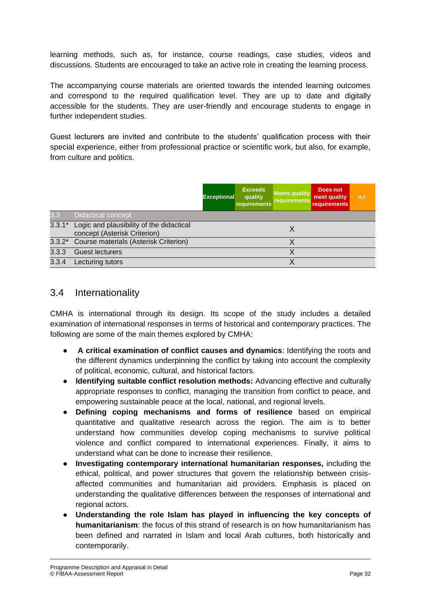learning methods, such as, for instance, course readings, case studies, videos and discussions. Students are encouraged to take an active role in creating the learning process.

The accompanying course materials are oriented towards the intended learning outcomes and correspond to the required qualification level. They are up to date and digitally accessible for the students. They are user-friendly and encourage students to engage in further independent studies.

Guest lecturers are invited and contribute to the students' qualification process with their special experience, either from professional practice or scientific work, but also, for example, from culture and politics.

|       |                                                                                 | <b>Exceptional</b> | <b>Exceeds</b><br>quality<br>requirements | <b>Meets quality</b><br>requirements | Does not<br>meet quality<br><b>requirements</b> | n.r. |
|-------|---------------------------------------------------------------------------------|--------------------|-------------------------------------------|--------------------------------------|-------------------------------------------------|------|
| 3.3   | <b>Didactical concept</b>                                                       |                    |                                           |                                      |                                                 |      |
|       | 3.3.1* Logic and plausibility of the didactical<br>concept (Asterisk Criterion) |                    |                                           | х                                    |                                                 |      |
|       | 3.3.2* Course materials (Asterisk Criterion)                                    |                    |                                           |                                      |                                                 |      |
| 3.3.3 | <b>Guest lecturers</b>                                                          |                    |                                           |                                      |                                                 |      |
| 3.3.4 | Lecturing tutors                                                                |                    |                                           |                                      |                                                 |      |

#### 3.4 Internationality

CMHA is international through its design. Its scope of the study includes a detailed examination of international responses in terms of historical and contemporary practices. The following are some of the main themes explored by CMHA:

- **A critical examination of conflict causes and dynamics**: Identifying the roots and the different dynamics underpinning the conflict by taking into account the complexity of political, economic, cultural, and historical factors.
- **Identifying suitable conflict resolution methods:** Advancing effective and culturally appropriate responses to conflict, managing the transition from conflict to peace, and empowering sustainable peace at the local, national, and regional levels.
- **Defining coping mechanisms and forms of resilience** based on empirical quantitative and qualitative research across the region. The aim is to better understand how communities develop coping mechanisms to survive political violence and conflict compared to international experiences. Finally, it aims to understand what can be done to increase their resilience.
- **Investigating contemporary international humanitarian responses,** including the ethical, political, and power structures that govern the relationship between crisisaffected communities and humanitarian aid providers. Emphasis is placed on understanding the qualitative differences between the responses of international and regional actors.
- **Understanding the role Islam has played in influencing the key concepts of humanitarianism**: the focus of this strand of research is on how humanitarianism has been defined and narrated in Islam and local Arab cultures, both historically and contemporarily.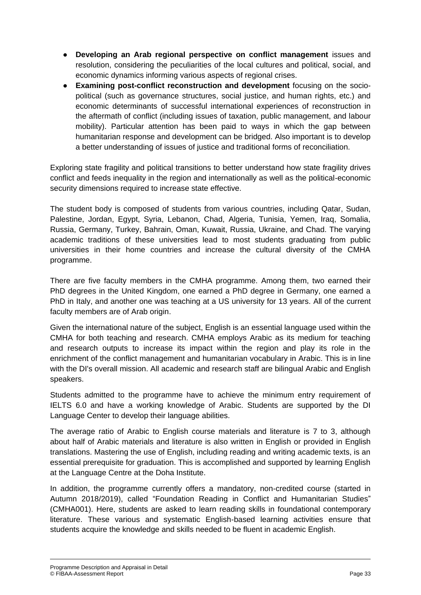- **Developing an Arab regional perspective on conflict management** issues and resolution, considering the peculiarities of the local cultures and political, social, and economic dynamics informing various aspects of regional crises.
- **Examining post-conflict reconstruction and development** focusing on the sociopolitical (such as governance structures, social justice, and human rights, etc.) and economic determinants of successful international experiences of reconstruction in the aftermath of conflict (including issues of taxation, public management, and labour mobility). Particular attention has been paid to ways in which the gap between humanitarian response and development can be bridged. Also important is to develop a better understanding of issues of justice and traditional forms of reconciliation.

Exploring state fragility and political transitions to better understand how state fragility drives conflict and feeds inequality in the region and internationally as well as the political-economic security dimensions required to increase state effective.

The student body is composed of students from various countries, including Qatar, Sudan, Palestine, Jordan, Egypt, Syria, Lebanon, Chad, Algeria, Tunisia, Yemen, Iraq, Somalia, Russia, Germany, Turkey, Bahrain, Oman, Kuwait, Russia, Ukraine, and Chad. The varying academic traditions of these universities lead to most students graduating from public universities in their home countries and increase the cultural diversity of the CMHA programme.

There are five faculty members in the CMHA programme. Among them, two earned their PhD degrees in the United Kingdom, one earned a PhD degree in Germany, one earned a PhD in Italy, and another one was teaching at a US university for 13 years. All of the current faculty members are of Arab origin.

Given the international nature of the subject, English is an essential language used within the CMHA for both teaching and research. CMHA employs Arabic as its medium for teaching and research outputs to increase its impact within the region and play its role in the enrichment of the conflict management and humanitarian vocabulary in Arabic. This is in line with the DI's overall mission. All academic and research staff are bilingual Arabic and English speakers.

Students admitted to the programme have to achieve the minimum entry requirement of IELTS 6.0 and have a working knowledge of Arabic. Students are supported by the DI Language Center to develop their language abilities.

The average ratio of Arabic to English course materials and literature is 7 to 3, although about half of Arabic materials and literature is also written in English or provided in English translations. Mastering the use of English, including reading and writing academic texts, is an essential prerequisite for graduation. This is accomplished and supported by learning English at the Language Centre at the Doha Institute.

In addition, the programme currently offers a mandatory, non-credited course (started in Autumn 2018/2019), called "Foundation Reading in Conflict and Humanitarian Studies" (CMHA001). Here, students are asked to learn reading skills in foundational contemporary literature. These various and systematic English-based learning activities ensure that students acquire the knowledge and skills needed to be fluent in academic English.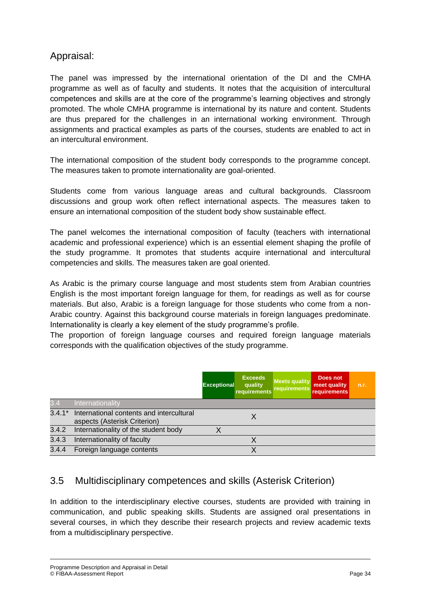## Appraisal:

The panel was impressed by the international orientation of the DI and the CMHA programme as well as of faculty and students. It notes that the acquisition of intercultural competences and skills are at the core of the programme's learning objectives and strongly promoted. The whole CMHA programme is international by its nature and content. Students are thus prepared for the challenges in an international working environment. Through assignments and practical examples as parts of the courses, students are enabled to act in an intercultural environment.

The international composition of the student body corresponds to the programme concept. The measures taken to promote internationality are goal-oriented.

Students come from various language areas and cultural backgrounds. Classroom discussions and group work often reflect international aspects. The measures taken to ensure an international composition of the student body show sustainable effect.

The panel welcomes the international composition of faculty (teachers with international academic and professional experience) which is an essential element shaping the profile of the study programme. It promotes that students acquire international and intercultural competencies and skills. The measures taken are goal oriented.

As Arabic is the primary course language and most students stem from Arabian countries English is the most important foreign language for them, for readings as well as for course materials. But also, Arabic is a foreign language for those students who come from a non-Arabic country. Against this background course materials in foreign languages predominate. Internationality is clearly a key element of the study programme's profile.

The proportion of foreign language courses and required foreign language materials corresponds with the qualification objectives of the study programme.

|          |                                                                          | <b>Exceptional</b> | <b>Exceeds</b><br>quality<br>requirements | <b>Meets quality</b><br>requirements | Does not<br>meet quality<br><b>requirements</b> | n.r. |
|----------|--------------------------------------------------------------------------|--------------------|-------------------------------------------|--------------------------------------|-------------------------------------------------|------|
| 3.4      | Internationality                                                         |                    |                                           |                                      |                                                 |      |
| $3.4.1*$ | International contents and intercultural<br>aspects (Asterisk Criterion) |                    |                                           |                                      |                                                 |      |
| 3.4.2    | Internationality of the student body                                     |                    |                                           |                                      |                                                 |      |
| 3.4.3    | Internationality of faculty                                              |                    |                                           |                                      |                                                 |      |
| 3.4.4    | Foreign language contents                                                |                    |                                           |                                      |                                                 |      |

## 3.5 Multidisciplinary competences and skills (Asterisk Criterion)

In addition to the interdisciplinary elective courses, students are provided with training in communication, and public speaking skills. Students are assigned oral presentations in several courses, in which they describe their research projects and review academic texts from a multidisciplinary perspective.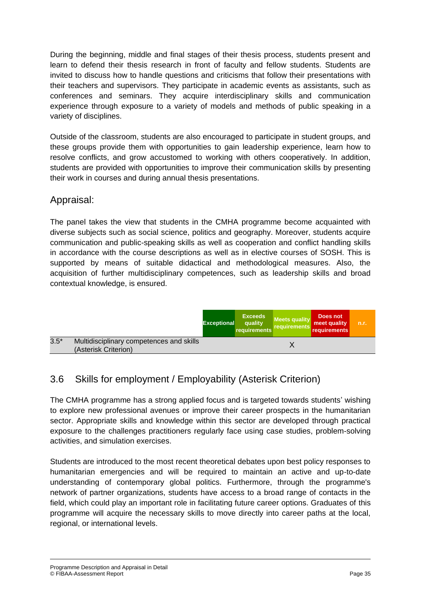During the beginning, middle and final stages of their thesis process, students present and learn to defend their thesis research in front of faculty and fellow students. Students are invited to discuss how to handle questions and criticisms that follow their presentations with their teachers and supervisors. They participate in academic events as assistants, such as conferences and seminars. They acquire interdisciplinary skills and communication experience through exposure to a variety of models and methods of public speaking in a variety of disciplines.

Outside of the classroom, students are also encouraged to participate in student groups, and these groups provide them with opportunities to gain leadership experience, learn how to resolve conflicts, and grow accustomed to working with others cooperatively. In addition, students are provided with opportunities to improve their communication skills by presenting their work in courses and during annual thesis presentations.

### Appraisal:

The panel takes the view that students in the CMHA programme become acquainted with diverse subjects such as social science, politics and geography. Moreover, students acquire communication and public-speaking skills as well as cooperation and conflict handling skills in accordance with the course descriptions as well as in elective courses of SOSH. This is supported by means of suitable didactical and methodological measures. Also, the acquisition of further multidisciplinary competences, such as leadership skills and broad contextual knowledge, is ensured.



## 3.6 Skills for employment / Employability (Asterisk Criterion)

The CMHA programme has a strong applied focus and is targeted towards students' wishing to explore new professional avenues or improve their career prospects in the humanitarian sector. Appropriate skills and knowledge within this sector are developed through practical exposure to the challenges practitioners regularly face using case studies, problem-solving activities, and simulation exercises.

Students are introduced to the most recent theoretical debates upon best policy responses to humanitarian emergencies and will be required to maintain an active and up-to-date understanding of contemporary global politics. Furthermore, through the programme's network of partner organizations, students have access to a broad range of contacts in the field, which could play an important role in facilitating future career options. Graduates of this programme will acquire the necessary skills to move directly into career paths at the local, regional, or international levels.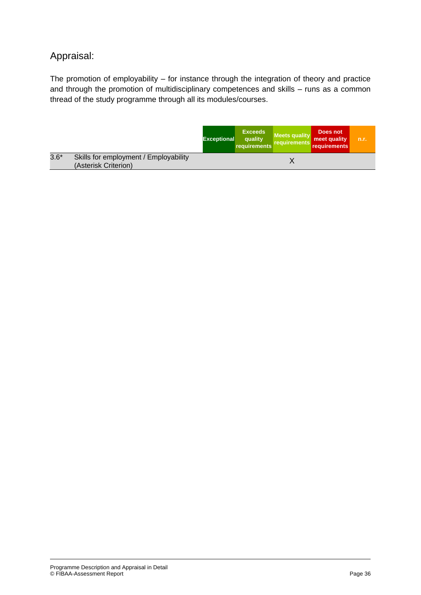## Appraisal:

The promotion of employability – for instance through the integration of theory and practice and through the promotion of multidisciplinary competences and skills – runs as a common thread of the study programme through all its modules/courses.

|        |                                                               | <b>Exceptional</b> | <b>Exceeds</b><br>quality<br>requirements | Meets quality<br>requirements | Does not<br>meet quality<br>requirements | n.r. |
|--------|---------------------------------------------------------------|--------------------|-------------------------------------------|-------------------------------|------------------------------------------|------|
| $3.6*$ | Skills for employment / Employability<br>(Asterisk Criterion) |                    |                                           |                               |                                          |      |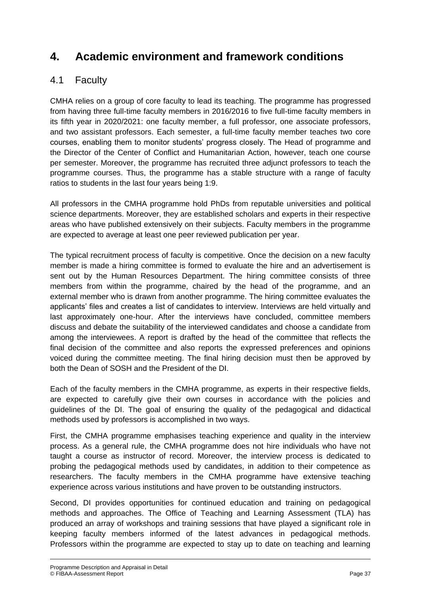## **4. Academic environment and framework conditions**

### 4.1 Faculty

CMHA relies on a group of core faculty to lead its teaching. The programme has progressed from having three full-time faculty members in 2016/2016 to five full-time faculty members in its fifth year in 2020/2021: one faculty member, a full professor, one associate professors, and two assistant professors. Each semester, a full-time faculty member teaches two core courses, enabling them to monitor students' progress closely. The Head of programme and the Director of the Center of Conflict and Humanitarian Action, however, teach one course per semester. Moreover, the programme has recruited three adjunct professors to teach the programme courses. Thus, the programme has a stable structure with a range of faculty ratios to students in the last four years being 1:9.

All professors in the CMHA programme hold PhDs from reputable universities and political science departments. Moreover, they are established scholars and experts in their respective areas who have published extensively on their subjects. Faculty members in the programme are expected to average at least one peer reviewed publication per year.

The typical recruitment process of faculty is competitive. Once the decision on a new faculty member is made a hiring committee is formed to evaluate the hire and an advertisement is sent out by the Human Resources Department. The hiring committee consists of three members from within the programme, chaired by the head of the programme, and an external member who is drawn from another programme. The hiring committee evaluates the applicants' files and creates a list of candidates to interview. Interviews are held virtually and last approximately one-hour. After the interviews have concluded, committee members discuss and debate the suitability of the interviewed candidates and choose a candidate from among the interviewees. A report is drafted by the head of the committee that reflects the final decision of the committee and also reports the expressed preferences and opinions voiced during the committee meeting. The final hiring decision must then be approved by both the Dean of SOSH and the President of the DI.

Each of the faculty members in the CMHA programme, as experts in their respective fields, are expected to carefully give their own courses in accordance with the policies and guidelines of the DI. The goal of ensuring the quality of the pedagogical and didactical methods used by professors is accomplished in two ways.

First, the CMHA programme emphasises teaching experience and quality in the interview process. As a general rule, the CMHA programme does not hire individuals who have not taught a course as instructor of record. Moreover, the interview process is dedicated to probing the pedagogical methods used by candidates, in addition to their competence as researchers. The faculty members in the CMHA programme have extensive teaching experience across various institutions and have proven to be outstanding instructors.

Second, DI provides opportunities for continued education and training on pedagogical methods and approaches. The Office of Teaching and Learning Assessment (TLA) has produced an array of workshops and training sessions that have played a significant role in keeping faculty members informed of the latest advances in pedagogical methods. Professors within the programme are expected to stay up to date on teaching and learning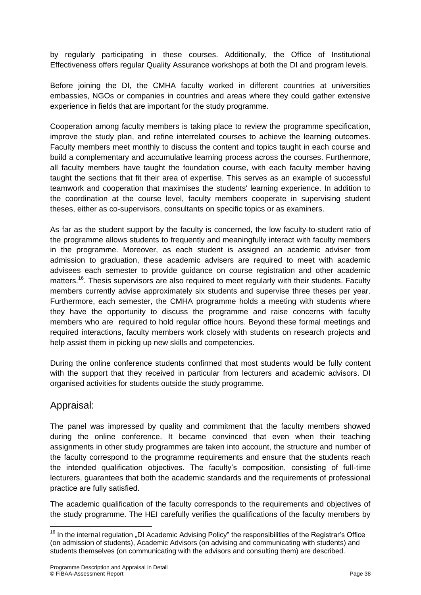by regularly participating in these courses. Additionally, the Office of Institutional Effectiveness offers regular Quality Assurance workshops at both the DI and program levels.

Before joining the DI, the CMHA faculty worked in different countries at universities embassies, NGOs or companies in countries and areas where they could gather extensive experience in fields that are important for the study programme.

Cooperation among faculty members is taking place to review the programme specification, improve the study plan, and refine interrelated courses to achieve the learning outcomes. Faculty members meet monthly to discuss the content and topics taught in each course and build a complementary and accumulative learning process across the courses. Furthermore, all faculty members have taught the foundation course, with each faculty member having taught the sections that fit their area of expertise. This serves as an example of successful teamwork and cooperation that maximises the students' learning experience. In addition to the coordination at the course level, faculty members cooperate in supervising student theses, either as co-supervisors, consultants on specific topics or as examiners.

As far as the student support by the faculty is concerned, the low faculty-to-student ratio of the programme allows students to frequently and meaningfully interact with faculty members in the programme. Moreover, as each student is assigned an academic adviser from admission to graduation, these academic advisers are required to meet with academic advisees each semester to provide guidance on course registration and other academic matters.<sup>16</sup>. Thesis supervisors are also required to meet regularly with their students. Faculty members currently advise approximately six students and supervise three theses per year. Furthermore, each semester, the CMHA programme holds a meeting with students where they have the opportunity to discuss the programme and raise concerns with faculty members who are required to hold regular office hours. Beyond these formal meetings and required interactions, faculty members work closely with students on research projects and help assist them in picking up new skills and competencies.

During the online conference students confirmed that most students would be fully content with the support that they received in particular from lecturers and academic advisors. DI organised activities for students outside the study programme.

### Appraisal:

The panel was impressed by quality and commitment that the faculty members showed during the online conference. It became convinced that even when their teaching assignments in other study programmes are taken into account, the structure and number of the faculty correspond to the programme requirements and ensure that the students reach the intended qualification objectives. The faculty's composition, consisting of full-time lecturers, guarantees that both the academic standards and the requirements of professional practice are fully satisfied.

The academic qualification of the faculty corresponds to the requirements and objectives of the study programme. The HEI carefully verifies the qualifications of the faculty members by

 $\overline{a}$  $16$  In the internal regulation "DI Academic Advising Policy" the responsibilities of the Registrar's Office (on admission of students), Academic Advisors (on advising and communicating with students) and students themselves (on communicating with the advisors and consulting them) are described.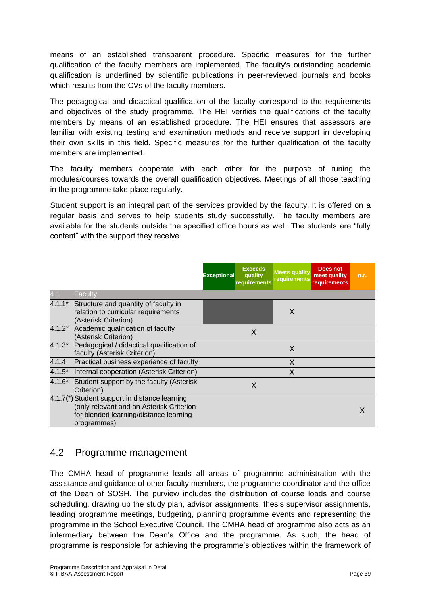means of an established transparent procedure. Specific measures for the further qualification of the faculty members are implemented. The faculty's outstanding academic qualification is underlined by scientific publications in peer-reviewed journals and books which results from the CVs of the faculty members.

The pedagogical and didactical qualification of the faculty correspond to the requirements and objectives of the study programme. The HEI verifies the qualifications of the faculty members by means of an established procedure. The HEI ensures that assessors are familiar with existing testing and examination methods and receive support in developing their own skills in this field. Specific measures for the further qualification of the faculty members are implemented.

The faculty members cooperate with each other for the purpose of tuning the modules/courses towards the overall qualification objectives. Meetings of all those teaching in the programme take place regularly.

Student support is an integral part of the services provided by the faculty. It is offered on a regular basis and serves to help students study successfully. The faculty members are available for the students outside the specified office hours as well. The students are "fully content" with the support they receive.

|          |                                                                                                                                                    | <b>Exceptional</b> | <b>Exceeds</b><br>quality<br>requirements | <b>Meets quality</b><br>requirements | Does not<br>meet quality<br><b>requirements</b> | n.r. |
|----------|----------------------------------------------------------------------------------------------------------------------------------------------------|--------------------|-------------------------------------------|--------------------------------------|-------------------------------------------------|------|
| 4.1      | Faculty                                                                                                                                            |                    |                                           |                                      |                                                 |      |
|          | 4.1.1* Structure and quantity of faculty in<br>relation to curricular requirements<br>(Asterisk Criterion)                                         |                    |                                           | X                                    |                                                 |      |
|          | 4.1.2* Academic qualification of faculty<br>(Asterisk Criterion)                                                                                   |                    | X                                         |                                      |                                                 |      |
| $4.1.3*$ | Pedagogical / didactical qualification of<br>faculty (Asterisk Criterion)                                                                          |                    |                                           | X                                    |                                                 |      |
| 4.1.4    | Practical business experience of faculty                                                                                                           |                    |                                           | X                                    |                                                 |      |
| $4.1.5*$ | Internal cooperation (Asterisk Criterion)                                                                                                          |                    |                                           | X                                    |                                                 |      |
| 4.1.6*   | Student support by the faculty (Asterisk<br>Criterion)                                                                                             |                    | X                                         |                                      |                                                 |      |
|          | 4.1.7(*) Student support in distance learning<br>(only relevant and an Asterisk Criterion<br>for blended learning/distance learning<br>programmes) |                    |                                           |                                      |                                                 |      |

### 4.2 Programme management

The CMHA head of programme leads all areas of programme administration with the assistance and guidance of other faculty members, the programme coordinator and the office of the Dean of SOSH. The purview includes the distribution of course loads and course scheduling, drawing up the study plan, advisor assignments, thesis supervisor assignments, leading programme meetings, budgeting, planning programme events and representing the programme in the School Executive Council. The CMHA head of programme also acts as an intermediary between the Dean's Office and the programme. As such, the head of programme is responsible for achieving the programme's objectives within the framework of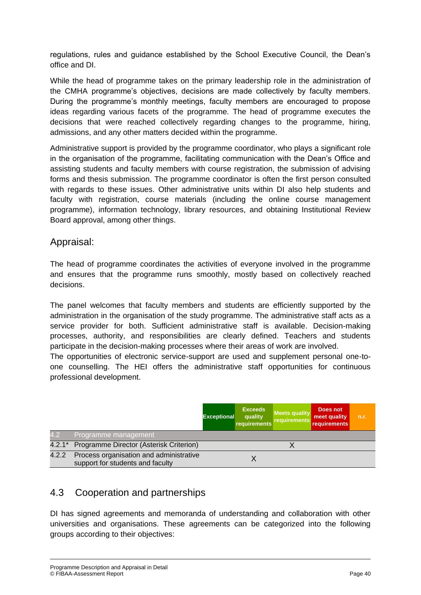regulations, rules and guidance established by the School Executive Council, the Dean's office and DI.

While the head of programme takes on the primary leadership role in the administration of the CMHA programme's objectives, decisions are made collectively by faculty members. During the programme's monthly meetings, faculty members are encouraged to propose ideas regarding various facets of the programme. The head of programme executes the decisions that were reached collectively regarding changes to the programme, hiring, admissions, and any other matters decided within the programme.

Administrative support is provided by the programme coordinator, who plays a significant role in the organisation of the programme, facilitating communication with the Dean's Office and assisting students and faculty members with course registration, the submission of advising forms and thesis submission. The programme coordinator is often the first person consulted with regards to these issues. Other administrative units within DI also help students and faculty with registration, course materials (including the online course management programme), information technology, library resources, and obtaining Institutional Review Board approval, among other things.

#### Appraisal:

The head of programme coordinates the activities of everyone involved in the programme and ensures that the programme runs smoothly, mostly based on collectively reached decisions.

The panel welcomes that faculty members and students are efficiently supported by the administration in the organisation of the study programme. The administrative staff acts as a service provider for both. Sufficient administrative staff is available. Decision-making processes, authority, and responsibilities are clearly defined. Teachers and students participate in the decision-making processes where their areas of work are involved.

The opportunities of electronic service-support are used and supplement personal one-toone counselling. The HEI offers the administrative staff opportunities for continuous professional development.

|          |                                                                             | <b>Exceptional</b> | <b>Exceeds</b><br>quality<br>requirements | <b>Meets quality</b><br>requirements | Does not<br>meet quality<br>requirements | n.r. |
|----------|-----------------------------------------------------------------------------|--------------------|-------------------------------------------|--------------------------------------|------------------------------------------|------|
| 4.2      | Programme management                                                        |                    |                                           |                                      |                                          |      |
| $4.2.1*$ | Programme Director (Asterisk Criterion)                                     |                    |                                           |                                      |                                          |      |
| 4.2.2    | Process organisation and administrative<br>support for students and faculty |                    |                                           |                                      |                                          |      |

### 4.3 Cooperation and partnerships

DI has signed agreements and memoranda of understanding and collaboration with other universities and organisations. These agreements can be categorized into the following groups according to their objectives: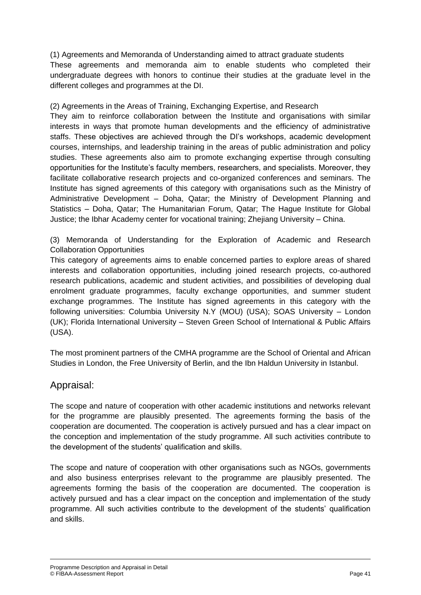(1) Agreements and Memoranda of Understanding aimed to attract graduate students These agreements and memoranda aim to enable students who completed their undergraduate degrees with honors to continue their studies at the graduate level in the different colleges and programmes at the DI.

#### (2) Agreements in the Areas of Training, Exchanging Expertise, and Research

They aim to reinforce collaboration between the Institute and organisations with similar interests in ways that promote human developments and the efficiency of administrative staffs. These objectives are achieved through the DI's workshops, academic development courses, internships, and leadership training in the areas of public administration and policy studies. These agreements also aim to promote exchanging expertise through consulting opportunities for the Institute's faculty members, researchers, and specialists. Moreover, they facilitate collaborative research projects and co-organized conferences and seminars. The Institute has signed agreements of this category with organisations such as the Ministry of Administrative Development – Doha, Qatar; the Ministry of Development Planning and Statistics – Doha, Qatar; The Humanitarian Forum, Qatar; The Hague Institute for Global Justice; the Ibhar Academy center for vocational training; Zhejiang University – China.

(3) Memoranda of Understanding for the Exploration of Academic and Research Collaboration Opportunities

This category of agreements aims to enable concerned parties to explore areas of shared interests and collaboration opportunities, including joined research projects, co-authored research publications, academic and student activities, and possibilities of developing dual enrolment graduate programmes, faculty exchange opportunities, and summer student exchange programmes. The Institute has signed agreements in this category with the following universities: Columbia University N.Y (MOU) (USA); SOAS University – London (UK); Florida International University – Steven Green School of International & Public Affairs (USA).

The most prominent partners of the CMHA programme are the School of Oriental and African Studies in London, the Free University of Berlin, and the Ibn Haldun University in Istanbul.

#### Appraisal:

The scope and nature of cooperation with other academic institutions and networks relevant for the programme are plausibly presented. The agreements forming the basis of the cooperation are documented. The cooperation is actively pursued and has a clear impact on the conception and implementation of the study programme. All such activities contribute to the development of the students' qualification and skills.

The scope and nature of cooperation with other organisations such as NGOs, governments and also business enterprises relevant to the programme are plausibly presented. The agreements forming the basis of the cooperation are documented. The cooperation is actively pursued and has a clear impact on the conception and implementation of the study programme. All such activities contribute to the development of the students' qualification and skills.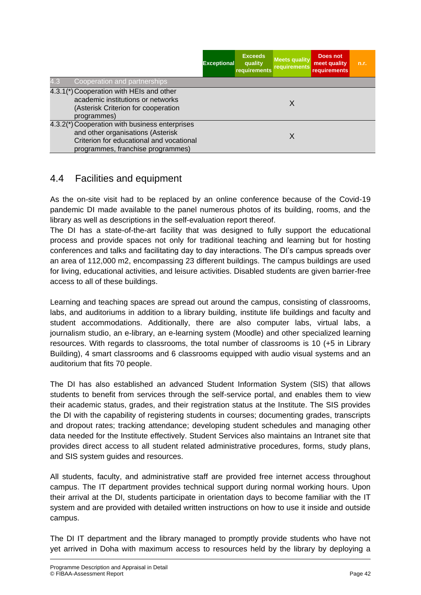|     |                                                                                                                                                                      | <b>Exceptional</b> | <b>Exceeds</b><br>quality<br>requirements | <b>Meets quality</b><br>requirements | Does not<br>meet quality<br>requirements | n.r. |
|-----|----------------------------------------------------------------------------------------------------------------------------------------------------------------------|--------------------|-------------------------------------------|--------------------------------------|------------------------------------------|------|
| 4.3 | Cooperation and partnerships                                                                                                                                         |                    |                                           |                                      |                                          |      |
|     | 4.3.1(*) Cooperation with HEIs and other<br>academic institutions or networks<br>(Asterisk Criterion for cooperation<br>programmes)                                  |                    |                                           | X                                    |                                          |      |
|     | 4.3.2(*) Cooperation with business enterprises<br>and other organisations (Asterisk<br>Criterion for educational and vocational<br>programmes, franchise programmes) |                    |                                           | X                                    |                                          |      |

### 4.4 Facilities and equipment

As the on-site visit had to be replaced by an online conference because of the Covid-19 pandemic DI made available to the panel numerous photos of its building, rooms, and the library as well as descriptions in the self-evaluation report thereof.

The DI has a state-of-the-art facility that was designed to fully support the educational process and provide spaces not only for traditional teaching and learning but for hosting conferences and talks and facilitating day to day interactions. The DI's campus spreads over an area of 112,000 m2, encompassing 23 different buildings. The campus buildings are used for living, educational activities, and leisure activities. Disabled students are given barrier-free access to all of these buildings.

Learning and teaching spaces are spread out around the campus, consisting of classrooms, labs, and auditoriums in addition to a library building, institute life buildings and faculty and student accommodations. Additionally, there are also computer labs, virtual labs, a journalism studio, an e-library, an e-learning system (Moodle) and other specialized learning resources. With regards to classrooms, the total number of classrooms is 10 (+5 in Library Building), 4 smart classrooms and 6 classrooms equipped with audio visual systems and an auditorium that fits 70 people.

The DI has also established an advanced Student Information System (SIS) that allows students to benefit from services through the self-service portal, and enables them to view their academic status, grades, and their registration status at the Institute. The SIS provides the DI with the capability of registering students in courses; documenting grades, transcripts and dropout rates; tracking attendance; developing student schedules and managing other data needed for the Institute effectively. Student Services also maintains an Intranet site that provides direct access to all student related administrative procedures, forms, study plans, and SIS system guides and resources.

All students, faculty, and administrative staff are provided free internet access throughout campus. The IT department provides technical support during normal working hours. Upon their arrival at the DI, students participate in orientation days to become familiar with the IT system and are provided with detailed written instructions on how to use it inside and outside campus.

The DI IT department and the library managed to promptly provide students who have not yet arrived in Doha with maximum access to resources held by the library by deploying a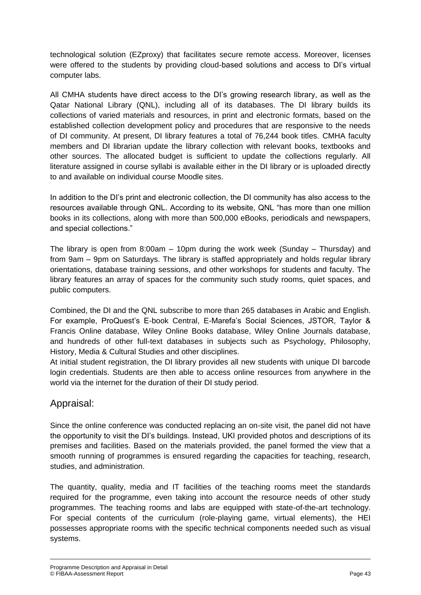technological solution (EZproxy) that facilitates secure remote access. Moreover, licenses were offered to the students by providing cloud-based solutions and access to DI's virtual computer labs.

All CMHA students have direct access to the DI's growing research library, as well as the Qatar National Library (QNL), including all of its databases. The DI library builds its collections of varied materials and resources, in print and electronic formats, based on the established collection development policy and procedures that are responsive to the needs of DI community. At present, DI library features a total of 76,244 book titles. CMHA faculty members and DI librarian update the library collection with relevant books, textbooks and other sources. The allocated budget is sufficient to update the collections regularly. All literature assigned in course syllabi is available either in the DI library or is uploaded directly to and available on individual course Moodle sites.

In addition to the DI's print and electronic collection, the DI community has also access to the resources available through QNL. According to its website, QNL "has more than one million books in its collections, along with more than 500,000 eBooks, periodicals and newspapers, and special collections."

The library is open from 8:00am  $-$  10pm during the work week (Sunday – Thursday) and from 9am – 9pm on Saturdays. The library is staffed appropriately and holds regular library orientations, database training sessions, and other workshops for students and faculty. The library features an array of spaces for the community such study rooms, quiet spaces, and public computers.

Combined, the DI and the QNL subscribe to more than 265 databases in Arabic and English. For example, ProQuest's E-book Central, E-Marefa's Social Sciences, JSTOR, Taylor & Francis Online database, Wiley Online Books database, Wiley Online Journals database, and hundreds of other full-text databases in subjects such as Psychology, Philosophy, History, Media & Cultural Studies and other disciplines.

At initial student registration, the DI library provides all new students with unique DI barcode login credentials. Students are then able to access online resources from anywhere in the world via the internet for the duration of their DI study period.

### Appraisal:

Since the online conference was conducted replacing an on-site visit, the panel did not have the opportunity to visit the DI's buildings. Instead, UKI provided photos and descriptions of its premises and facilities. Based on the materials provided, the panel formed the view that a smooth running of programmes is ensured regarding the capacities for teaching, research, studies, and administration.

The quantity, quality, media and IT facilities of the teaching rooms meet the standards required for the programme, even taking into account the resource needs of other study programmes. The teaching rooms and labs are equipped with state-of-the-art technology. For special contents of the curriculum (role-playing game, virtual elements), the HEI possesses appropriate rooms with the specific technical components needed such as visual systems.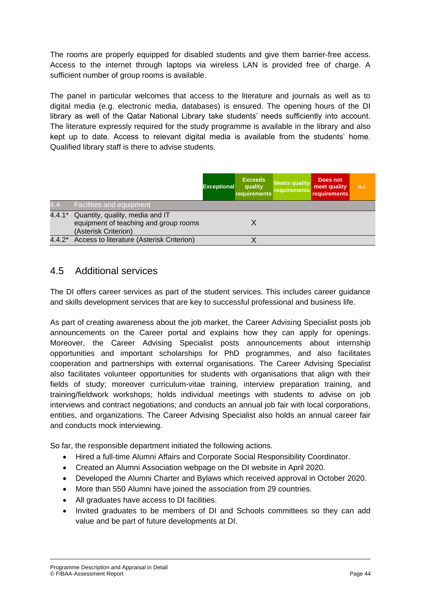The rooms are properly equipped for disabled students and give them barrier-free access. Access to the internet through laptops via wireless LAN is provided free of charge. A sufficient number of group rooms is available.

The panel in particular welcomes that access to the literature and journals as well as to digital media (e.g. electronic media, databases) is ensured. The opening hours of the DI library as well of the Qatar National Library take students' needs sufficiently into account. The literature expressly required for the study programme is available in the library and also kept up to date. Access to relevant digital media is available from the students' home. Qualified library staff is there to advise students.

|                  |                                                                                                  | <b>Exceptional</b> | <b>Exceeds</b><br>quality<br>requirements | <b>Meets quality</b><br>requirements | Does not<br>meet quality<br>requirements | n.r. |
|------------------|--------------------------------------------------------------------------------------------------|--------------------|-------------------------------------------|--------------------------------------|------------------------------------------|------|
| 4.4 <sub>1</sub> | Facilities and equipment                                                                         |                    |                                           |                                      |                                          |      |
| $4.4.1*$         | Quantity, quality, media and IT<br>equipment of teaching and group rooms<br>(Asterisk Criterion) |                    |                                           |                                      |                                          |      |
|                  | 4.4.2* Access to literature (Asterisk Criterion)                                                 |                    |                                           |                                      |                                          |      |

#### 4.5 Additional services

The DI offers career services as part of the student services. This includes career guidance and skills development services that are key to successful professional and business life.

As part of creating awareness about the job market, the Career Advising Specialist posts job announcements on the Career portal and explains how they can apply for openings. Moreover, the Career Advising Specialist posts announcements about internship opportunities and important scholarships for PhD programmes, and also facilitates cooperation and partnerships with external organisations. The Career Advising Specialist also facilitates volunteer opportunities for students with organisations that align with their fields of study; moreover curriculum-vitae training, interview preparation training, and training/fieldwork workshops; holds individual meetings with students to advise on job interviews and contract negotiations; and conducts an annual job fair with local corporations, entities, and organizations. The Career Advising Specialist also holds an annual career fair and conducts mock interviewing.

So far, the responsible department initiated the following actions.

- Hired a full-time Alumni Affairs and Corporate Social Responsibility Coordinator.
- Created an Alumni Association webpage on the DI website in April 2020.
- Developed the Alumni Charter and Bylaws which received approval in October 2020.
- More than 550 Alumni have joined the association from 29 countries.
- All graduates have access to DI facilities.
- Invited graduates to be members of DI and Schools committees so they can add value and be part of future developments at DI.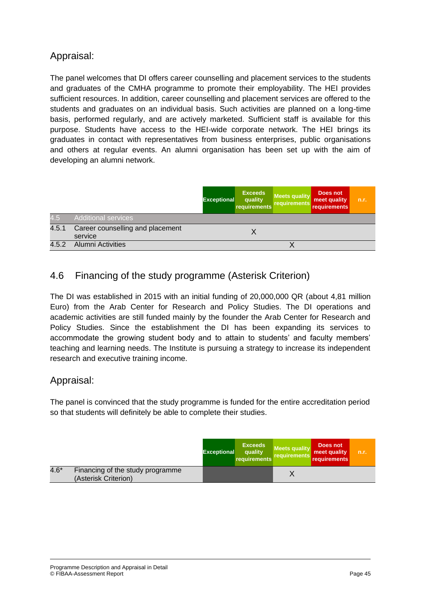## Appraisal:

The panel welcomes that DI offers career counselling and placement services to the students and graduates of the CMHA programme to promote their employability. The HEI provides sufficient resources. In addition, career counselling and placement services are offered to the students and graduates on an individual basis. Such activities are planned on a long-time basis, performed regularly, and are actively marketed. Sufficient staff is available for this purpose. Students have access to the HEI-wide corporate network. The HEI brings its graduates in contact with representatives from business enterprises, public organisations and others at regular events. An alumni organisation has been set up with the aim of developing an alumni network.

|       |                                             | <b>Exceptional</b> | <b>Exceeds</b><br>quality<br>requirements | <b>Meets quality</b><br>requirements | Does not<br>meet quality<br>requirements | n.r. |
|-------|---------------------------------------------|--------------------|-------------------------------------------|--------------------------------------|------------------------------------------|------|
| 4.5   | Additional services                         |                    |                                           |                                      |                                          |      |
| 4.5.1 | Career counselling and placement<br>service |                    |                                           |                                      |                                          |      |
| 4.5.2 | <b>Alumni Activities</b>                    |                    |                                           |                                      |                                          |      |

## 4.6 Financing of the study programme (Asterisk Criterion)

The DI was established in 2015 with an initial funding of 20,000,000 QR (about 4,81 million Euro) from the Arab Center for Research and Policy Studies. The DI operations and academic activities are still funded mainly by the founder the Arab Center for Research and Policy Studies. Since the establishment the DI has been expanding its services to accommodate the growing student body and to attain to students' and faculty members' teaching and learning needs. The Institute is pursuing a strategy to increase its independent research and executive training income.

#### Appraisal:

The panel is convinced that the study programme is funded for the entire accreditation period so that students will definitely be able to complete their studies.

|        |                                                          | <b>Exceptional</b> | <b>Exceeds</b><br>quality<br>requirements | Meets quality<br><b>requirements</b> | Does not<br>meet quality<br>requirements | n.r. |
|--------|----------------------------------------------------------|--------------------|-------------------------------------------|--------------------------------------|------------------------------------------|------|
| $4.6*$ | Financing of the study programme<br>(Asterisk Criterion) |                    |                                           |                                      |                                          |      |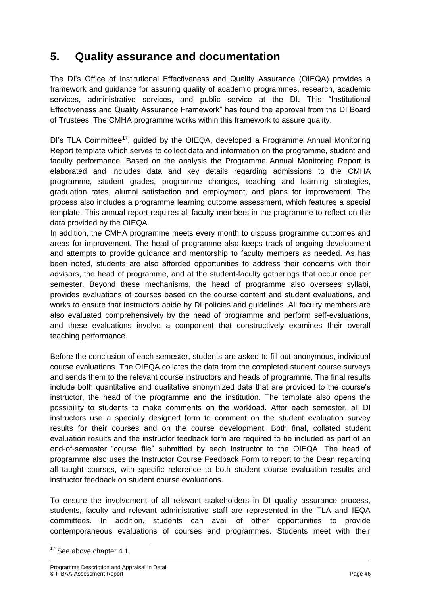## **5. Quality assurance and documentation**

The DI's Office of Institutional Effectiveness and Quality Assurance (OIEQA) provides a framework and guidance for assuring quality of academic programmes, research, academic services, administrative services, and public service at the DI. This "Institutional Effectiveness and Quality Assurance Framework" has found the approval from the DI Board of Trustees. The CMHA programme works within this framework to assure quality.

DI's TLA Committee<sup>17</sup>, guided by the OIEQA, developed a Programme Annual Monitoring Report template which serves to collect data and information on the programme, student and faculty performance. Based on the analysis the Programme Annual Monitoring Report is elaborated and includes data and key details regarding admissions to the CMHA programme, student grades, programme changes, teaching and learning strategies, graduation rates, alumni satisfaction and employment, and plans for improvement. The process also includes a programme learning outcome assessment, which features a special template. This annual report requires all faculty members in the programme to reflect on the data provided by the OIEQA.

In addition, the CMHA programme meets every month to discuss programme outcomes and areas for improvement. The head of programme also keeps track of ongoing development and attempts to provide guidance and mentorship to faculty members as needed. As has been noted, students are also afforded opportunities to address their concerns with their advisors, the head of programme, and at the student-faculty gatherings that occur once per semester. Beyond these mechanisms, the head of programme also oversees syllabi, provides evaluations of courses based on the course content and student evaluations, and works to ensure that instructors abide by DI policies and guidelines. All faculty members are also evaluated comprehensively by the head of programme and perform self-evaluations, and these evaluations involve a component that constructively examines their overall teaching performance.

Before the conclusion of each semester, students are asked to fill out anonymous, individual course evaluations. The OIEQA collates the data from the completed student course surveys and sends them to the relevant course instructors and heads of programme. The final results include both quantitative and qualitative anonymized data that are provided to the course's instructor, the head of the programme and the institution. The template also opens the possibility to students to make comments on the workload. After each semester, all DI instructors use a specially designed form to comment on the student evaluation survey results for their courses and on the course development. Both final, collated student evaluation results and the instructor feedback form are required to be included as part of an end-of-semester "course file" submitted by each instructor to the OIEQA. The head of programme also uses the Instructor Course Feedback Form to report to the Dean regarding all taught courses, with specific reference to both student course evaluation results and instructor feedback on student course evaluations.

To ensure the involvement of all relevant stakeholders in DI quality assurance process, students, faculty and relevant administrative staff are represented in the TLA and IEQA committees. In addition, students can avail of other opportunities to provide contemporaneous evaluations of courses and programmes. Students meet with their

**<sup>.</sup>**  $17$  See above chapter 4.1.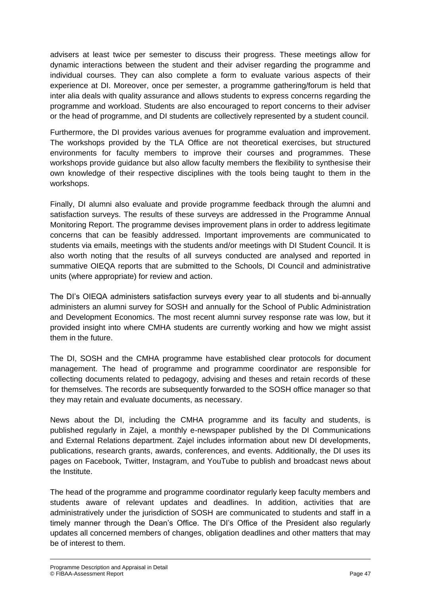advisers at least twice per semester to discuss their progress. These meetings allow for dynamic interactions between the student and their adviser regarding the programme and individual courses. They can also complete a form to evaluate various aspects of their experience at DI. Moreover, once per semester, a programme gathering/forum is held that inter alia deals with quality assurance and allows students to express concerns regarding the programme and workload. Students are also encouraged to report concerns to their adviser or the head of programme, and DI students are collectively represented by a student council.

Furthermore, the DI provides various avenues for programme evaluation and improvement. The workshops provided by the TLA Office are not theoretical exercises, but structured environments for faculty members to improve their courses and programmes. These workshops provide guidance but also allow faculty members the flexibility to synthesise their own knowledge of their respective disciplines with the tools being taught to them in the workshops.

Finally, DI alumni also evaluate and provide programme feedback through the alumni and satisfaction surveys. The results of these surveys are addressed in the Programme Annual Monitoring Report. The programme devises improvement plans in order to address legitimate concerns that can be feasibly addressed. Important improvements are communicated to students via emails, meetings with the students and/or meetings with DI Student Council. It is also worth noting that the results of all surveys conducted are analysed and reported in summative OIEQA reports that are submitted to the Schools, DI Council and administrative units (where appropriate) for review and action.

The DI's OIEQA administers satisfaction surveys every year to all students and bi-annually administers an alumni survey for SOSH and annually for the School of Public Administration and Development Economics. The most recent alumni survey response rate was low, but it provided insight into where CMHA students are currently working and how we might assist them in the future.

The DI, SOSH and the CMHA programme have established clear protocols for document management. The head of programme and programme coordinator are responsible for collecting documents related to pedagogy, advising and theses and retain records of these for themselves. The records are subsequently forwarded to the SOSH office manager so that they may retain and evaluate documents, as necessary.

News about the DI, including the CMHA programme and its faculty and students, is published regularly in Zajel, a monthly e-newspaper published by the DI Communications and External Relations department. Zajel includes information about new DI developments, publications, research grants, awards, conferences, and events. Additionally, the DI uses its pages on Facebook, Twitter, Instagram, and YouTube to publish and broadcast news about the Institute.

The head of the programme and programme coordinator regularly keep faculty members and students aware of relevant updates and deadlines. In addition, activities that are administratively under the jurisdiction of SOSH are communicated to students and staff in a timely manner through the Dean's Office. The DI's Office of the President also regularly updates all concerned members of changes, obligation deadlines and other matters that may be of interest to them.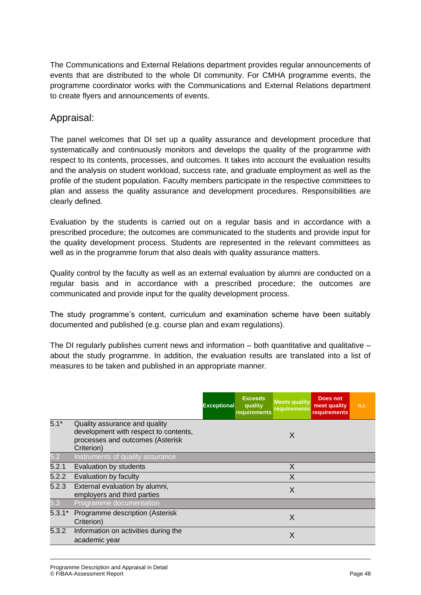The Communications and External Relations department provides regular announcements of events that are distributed to the whole DI community. For CMHA programme events, the programme coordinator works with the Communications and External Relations department to create flyers and announcements of events.

## Appraisal:

The panel welcomes that DI set up a quality assurance and development procedure that systematically and continuously monitors and develops the quality of the programme with respect to its contents, processes, and outcomes. It takes into account the evaluation results and the analysis on student workload, success rate, and graduate employment as well as the profile of the student population. Faculty members participate in the respective committees to plan and assess the quality assurance and development procedures. Responsibilities are clearly defined.

Evaluation by the students is carried out on a regular basis and in accordance with a prescribed procedure; the outcomes are communicated to the students and provide input for the quality development process. Students are represented in the relevant committees as well as in the programme forum that also deals with quality assurance matters.

Quality control by the faculty as well as an external evaluation by alumni are conducted on a regular basis and in accordance with a prescribed procedure; the outcomes are communicated and provide input for the quality development process.

The study programme's content, curriculum and examination scheme have been suitably documented and published (e.g. course plan and exam regulations).

The DI regularly publishes current news and information  $-$  both quantitative and qualitative  $$ about the study programme. In addition, the evaluation results are translated into a list of measures to be taken and published in an appropriate manner.

|          |                                                                                                                          | <b>Exceptional</b> | <b>Exceeds</b><br>quality<br>requirements | <b>Meets quality</b><br>requirements | <b>Does not</b><br>meet quality<br><b>requirements</b> | n.r. |
|----------|--------------------------------------------------------------------------------------------------------------------------|--------------------|-------------------------------------------|--------------------------------------|--------------------------------------------------------|------|
| $5.1*$   | Quality assurance and quality<br>development with respect to contents,<br>processes and outcomes (Asterisk<br>Criterion) |                    |                                           | X                                    |                                                        |      |
| 5.2      | Instruments of quality assurance                                                                                         |                    |                                           |                                      |                                                        |      |
| 5.2.1    | Evaluation by students                                                                                                   |                    |                                           | X                                    |                                                        |      |
| 5.2.2    | Evaluation by faculty                                                                                                    |                    |                                           | X                                    |                                                        |      |
| 5.2.3    | External evaluation by alumni,<br>employers and third parties                                                            |                    |                                           | X                                    |                                                        |      |
| 5.3      | Programme documentation                                                                                                  |                    |                                           |                                      |                                                        |      |
| $5.3.1*$ | Programme description (Asterisk<br>Criterion)                                                                            |                    |                                           | X                                    |                                                        |      |
| 5.3.2    | Information on activities during the<br>academic year                                                                    |                    |                                           | X                                    |                                                        |      |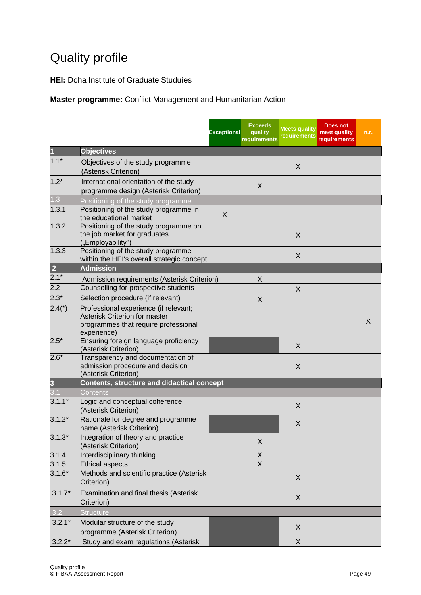# Quality profile

### **HEI:** Doha Institute of Graduate Studuíes

#### **Master programme:** Conflict Management and Humanitarian Action

|                         |                                                                                                                               | <b>Exceptional</b> | <b>Exceeds</b><br>quality<br>requirements | <b>Meets quality</b><br>requirements | <b>Does not</b><br>meet quality<br>requirements | n.r. |
|-------------------------|-------------------------------------------------------------------------------------------------------------------------------|--------------------|-------------------------------------------|--------------------------------------|-------------------------------------------------|------|
| П                       | <b>Objectives</b>                                                                                                             |                    |                                           |                                      |                                                 |      |
| $1.1*$                  | Objectives of the study programme<br>(Asterisk Criterion)                                                                     |                    |                                           | X                                    |                                                 |      |
| $1.2*$                  | International orientation of the study<br>programme design (Asterisk Criterion)                                               |                    | X                                         |                                      |                                                 |      |
| 1.3                     | Positioning of the study programme                                                                                            |                    |                                           |                                      |                                                 |      |
| 1.3.1                   | Positioning of the study programme in<br>the educational market                                                               | X                  |                                           |                                      |                                                 |      |
| 1.3.2                   | Positioning of the study programme on<br>the job market for graduates<br>("Employability")                                    |                    |                                           | X                                    |                                                 |      |
| 1.3.3                   | Positioning of the study programme<br>within the HEI's overall strategic concept                                              |                    |                                           | X                                    |                                                 |      |
| $\overline{2}$          | <b>Admission</b>                                                                                                              |                    |                                           |                                      |                                                 |      |
| $2.1*$                  | Admission requirements (Asterisk Criterion)                                                                                   |                    | X                                         |                                      |                                                 |      |
| 2.2                     | Counselling for prospective students                                                                                          |                    |                                           | X                                    |                                                 |      |
| $2.3*$                  | Selection procedure (if relevant)                                                                                             |                    | X                                         |                                      |                                                 |      |
| $2.4(*)$                | Professional experience (if relevant;<br>Asterisk Criterion for master<br>programmes that require professional<br>experience) |                    |                                           |                                      |                                                 | X    |
| $2.5*$                  | Ensuring foreign language proficiency<br>(Asterisk Criterion)                                                                 |                    |                                           | X                                    |                                                 |      |
| $2.6*$                  | Transparency and documentation of<br>admission procedure and decision<br>(Asterisk Criterion)                                 |                    |                                           | X                                    |                                                 |      |
| $\overline{\mathbf{3}}$ | <b>Contents, structure and didactical concept</b>                                                                             |                    |                                           |                                      |                                                 |      |
| 3.1                     | Contents                                                                                                                      |                    |                                           |                                      |                                                 |      |
| $3.1.1*$                | Logic and conceptual coherence<br>(Asterisk Criterion)                                                                        |                    |                                           | X                                    |                                                 |      |
| $3.1.2*$                | Rationale for degree and programme<br>name (Asterisk Criterion)                                                               |                    |                                           | X                                    |                                                 |      |
| $3.1.3*$                | Integration of theory and practice<br>(Asterisk Criterion)                                                                    |                    | X                                         |                                      |                                                 |      |
| 3.1.4                   | Interdisciplinary thinking                                                                                                    |                    | X                                         |                                      |                                                 |      |
| 3.1.5                   | <b>Ethical aspects</b>                                                                                                        |                    | $\overline{X}$                            |                                      |                                                 |      |
| $3.1.6*$                | Methods and scientific practice (Asterisk<br>Criterion)                                                                       |                    |                                           | X                                    |                                                 |      |
| $3.1.7*$                | Examination and final thesis (Asterisk<br>Criterion)                                                                          |                    |                                           | X                                    |                                                 |      |
| 3.2                     | <b>Structure</b>                                                                                                              |                    |                                           |                                      |                                                 |      |
| $3.2.1*$                | Modular structure of the study<br>programme (Asterisk Criterion)                                                              |                    |                                           | X                                    |                                                 |      |
| $3.2.2*$                | Study and exam regulations (Asterisk                                                                                          |                    |                                           | X                                    |                                                 |      |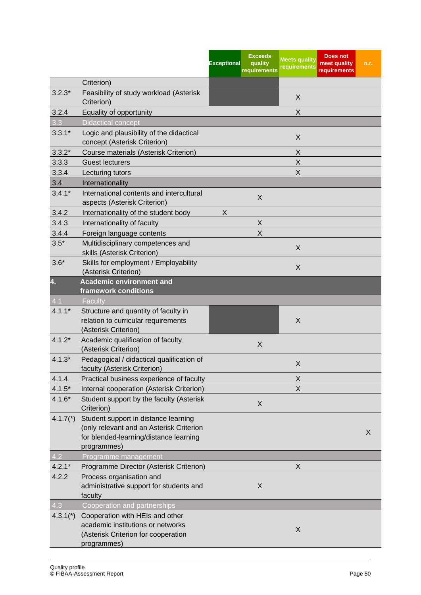|                  |                                                                                                                                           | <b>Exceptional</b> | <b>Exceeds</b><br>quality<br>requirements | <b>Meets quality</b><br>requirements | Does not<br>meet quality<br>requirements | n.r. |
|------------------|-------------------------------------------------------------------------------------------------------------------------------------------|--------------------|-------------------------------------------|--------------------------------------|------------------------------------------|------|
|                  | Criterion)                                                                                                                                |                    |                                           |                                      |                                          |      |
| $3.2.3*$         | Feasibility of study workload (Asterisk<br>Criterion)                                                                                     |                    |                                           | X                                    |                                          |      |
| 3.2.4            | Equality of opportunity                                                                                                                   |                    |                                           | X                                    |                                          |      |
| 3.3              | <b>Didactical concept</b>                                                                                                                 |                    |                                           |                                      |                                          |      |
| $3.3.1*$         | Logic and plausibility of the didactical<br>concept (Asterisk Criterion)                                                                  |                    |                                           | X                                    |                                          |      |
| $3.3.2*$         | Course materials (Asterisk Criterion)                                                                                                     |                    |                                           | Χ                                    |                                          |      |
| 3.3.3            | <b>Guest lecturers</b>                                                                                                                    |                    |                                           | Χ                                    |                                          |      |
| 3.3.4            | Lecturing tutors                                                                                                                          |                    |                                           | X                                    |                                          |      |
| 3.4              | Internationality                                                                                                                          |                    |                                           |                                      |                                          |      |
| $3.4.1*$         | International contents and intercultural<br>aspects (Asterisk Criterion)                                                                  |                    | X                                         |                                      |                                          |      |
| 3.4.2            | Internationality of the student body                                                                                                      | X                  |                                           |                                      |                                          |      |
| 3.4.3            | Internationality of faculty                                                                                                               |                    | X                                         |                                      |                                          |      |
| 3.4.4            | Foreign language contents                                                                                                                 |                    | $\sf X$                                   |                                      |                                          |      |
| $3.5*$           | Multidisciplinary competences and<br>skills (Asterisk Criterion)                                                                          |                    |                                           | X                                    |                                          |      |
| $3.6*$           | Skills for employment / Employability<br>(Asterisk Criterion)                                                                             |                    |                                           | X                                    |                                          |      |
| 4.               | <b>Academic environment and</b><br>framework conditions                                                                                   |                    |                                           |                                      |                                          |      |
| 4.1              | Faculty                                                                                                                                   |                    |                                           |                                      |                                          |      |
| $4.1.1*$         | Structure and quantity of faculty in<br>relation to curricular requirements<br>(Asterisk Criterion)                                       |                    |                                           | X                                    |                                          |      |
| $4.1.2*$         | Academic qualification of faculty<br>(Asterisk Criterion)                                                                                 |                    | X                                         |                                      |                                          |      |
| $4.1.3*$         | Pedagogical / didactical qualification of<br>faculty (Asterisk Criterion)                                                                 |                    |                                           | X                                    |                                          |      |
| 4.1.4            | Practical business experience of faculty                                                                                                  |                    |                                           | X                                    |                                          |      |
| $4.1.5*$         | Internal cooperation (Asterisk Criterion)                                                                                                 |                    |                                           | X                                    |                                          |      |
| $4.1.6*$         | Student support by the faculty (Asterisk<br>Criterion)                                                                                    |                    | X                                         |                                      |                                          |      |
| $4.1.7(*)$       | Student support in distance learning<br>(only relevant and an Asterisk Criterion<br>for blended-learning/distance learning<br>programmes) |                    |                                           |                                      |                                          | X    |
| $\overline{4.2}$ | Programme management                                                                                                                      |                    |                                           |                                      |                                          |      |
| $4.2.1*$         | Programme Director (Asterisk Criterion)                                                                                                   |                    |                                           | X                                    |                                          |      |
| 4.2.2            | Process organisation and<br>administrative support for students and<br>faculty                                                            |                    | X                                         |                                      |                                          |      |
| 4.3              | Cooperation and partnerships                                                                                                              |                    |                                           |                                      |                                          |      |
| $4.3.1*$         | Cooperation with HEIs and other<br>academic institutions or networks<br>(Asterisk Criterion for cooperation<br>programmes)                |                    |                                           | X                                    |                                          |      |
|                  |                                                                                                                                           |                    |                                           |                                      |                                          |      |